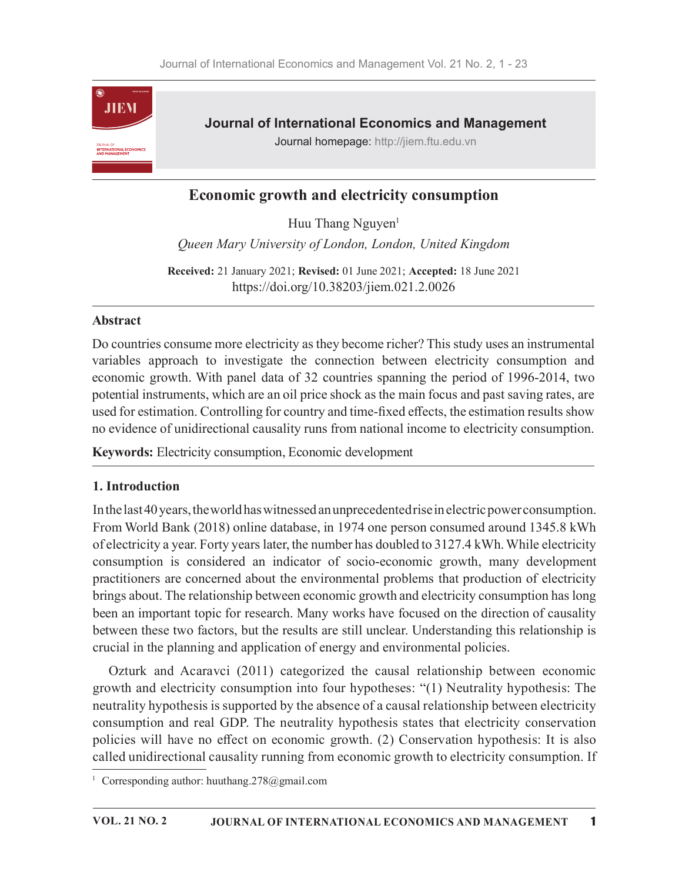

# Economic growth and electricity consumption

Huu Thang Nguyen<sup>1</sup>

Queen Mary University of London, London, United Kingdom

Received: 21 January 2021; Revised: 01 June 2021; Accepted: 18 June 2021 https://doi.org/10.38203/jiem.021.2.0026

### Abstract

Do countries consume more electricity as they become richer? This study uses an instrumental variables approach to investigate the connection between electricity consumption and economic growth. With panel data of 32 countries spanning the period of 1996-2014, two potential instruments, which are an oil price shock as the main focus and past saving rates, are used for estimation. Controlling for country and time-fixed effects, the estimation results show no evidence of unidirectional causality runs from national income to electricity consumption.

Keywords: Electricity consumption, Economic development

### 1. Introduction

In the last 40 years, the world has witnessed an unprecedented rise in electric power consumption. From World Bank (2018) online database, in 1974 one person consumed around 1345.8 kWh of electricity a year. Forty years later, the number has doubled to 3127.4 kWh. While electricity consumption is considered an indicator of socio-economic growth, many development practitioners are concerned about the environmental problems that production of electricity brings about. The relationship between economic growth and electricity consumption has long been an important topic for research. Many works have focused on the direction of causality between these two factors, but the results are still unclear. Understanding this relationship is crucial in the planning and application of energy and environmental policies.

Ozturk and Acaravci (2011) categorized the causal relationship between economic growth and electricity consumption into four hypotheses: "(1) Neutrality hypothesis: The neutrality hypothesis is supported by the absence of a causal relationship between electricity consumption and real GDP. The neutrality hypothesis states that electricity conservation policies will have no effect on economic growth. (2) Conservation hypothesis: It is also called unidirectional causality running from economic growth to electricity consumption. If

<sup>&</sup>lt;sup>1</sup> Corresponding author: huuthang.278@gmail.com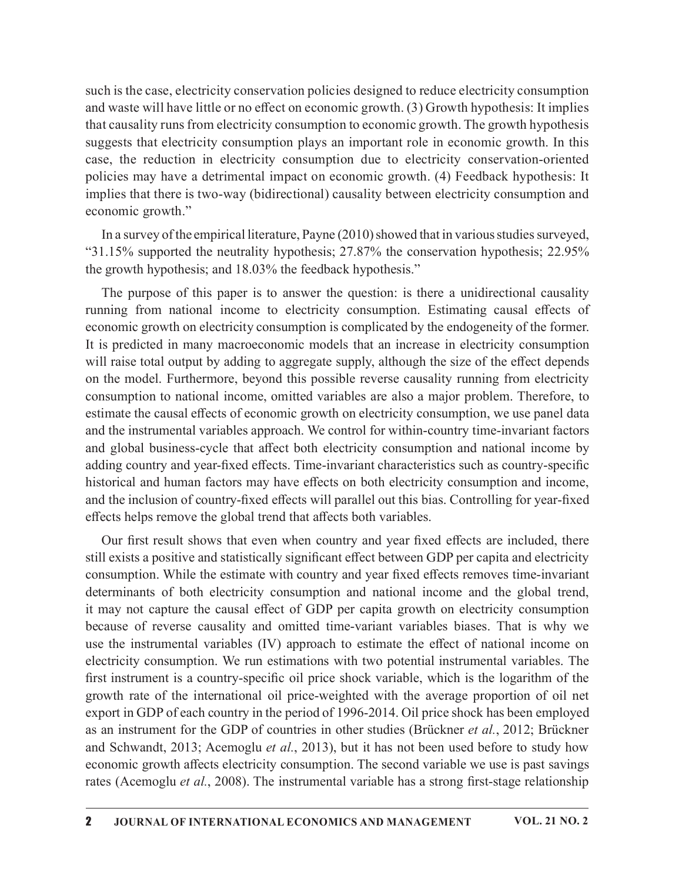such is the case, electricity conservation policies designed to reduce electricity consumption and waste will have little or no effect on economic growth. (3) Growth hypothesis: It implies that causality runs from electricity consumption to economic growth. The growth hypothesis suggests that electricity consumption plays an important role in economic growth. In this case, the reduction in electricity consumption due to electricity conservation-oriented policies may have a detrimental impact on economic growth. (4) Feedback hypothesis: It implies that there is two-way (bidirectional) causality between electricity consumption and economic growth."

In a survey of the empirical literature, Payne (2010) showed that in various studies surveyed, "31.15% supported the neutrality hypothesis; 27.87% the conservation hypothesis; 22.95% the growth hypothesis; and 18.03% the feedback hypothesis."

The purpose of this paper is to answer the question: is there a unidirectional causality running from national income to electricity consumption. Estimating causal effects of economic growth on electricity consumption is complicated by the endogeneity of the former. It is predicted in many macroeconomic models that an increase in electricity consumption will raise total output by adding to aggregate supply, although the size of the effect depends on the model. Furthermore, beyond this possible reverse causality running from electricity consumption to national income, omitted variables are also a major problem. Therefore, to estimate the causal effects of economic growth on electricity consumption, we use panel data and the instrumental variables approach. We control for within-country time-invariant factors and global business-cycle that affect both electricity consumption and national income by adding country and year-fixed effects. Time-invariant characteristics such as country-specific historical and human factors may have effects on both electricity consumption and income, and the inclusion of country-fixed effects will parallel out this bias. Controlling for year-fixed effects helps remove the global trend that affects both variables.

Our first result shows that even when country and year fixed effects are included, there still exists a positive and statistically significant effect between GDP per capita and electricity consumption. While the estimate with country and year fixed effects removes time-invariant determinants of both electricity consumption and national income and the global trend, it may not capture the causal effect of GDP per capita growth on electricity consumption because of reverse causality and omitted time-variant variables biases. That is why we use the instrumental variables (IV) approach to estimate the effect of national income on electricity consumption. We run estimations with two potential instrumental variables. The first instrument is a country-specific oil price shock variable, which is the logarithm of the growth rate of the international oil price-weighted with the average proportion of oil net export in GDP of each country in the period of 1996-2014. Oil price shock has been employed as an instrument for the GDP of countries in other studies (Brückner et al., 2012; Brückner and Schwandt, 2013; Acemoglu et al., 2013), but it has not been used before to study how economic growth affects electricity consumption. The second variable we use is past savings rates (Acemoglu et al., 2008). The instrumental variable has a strong first-stage relationship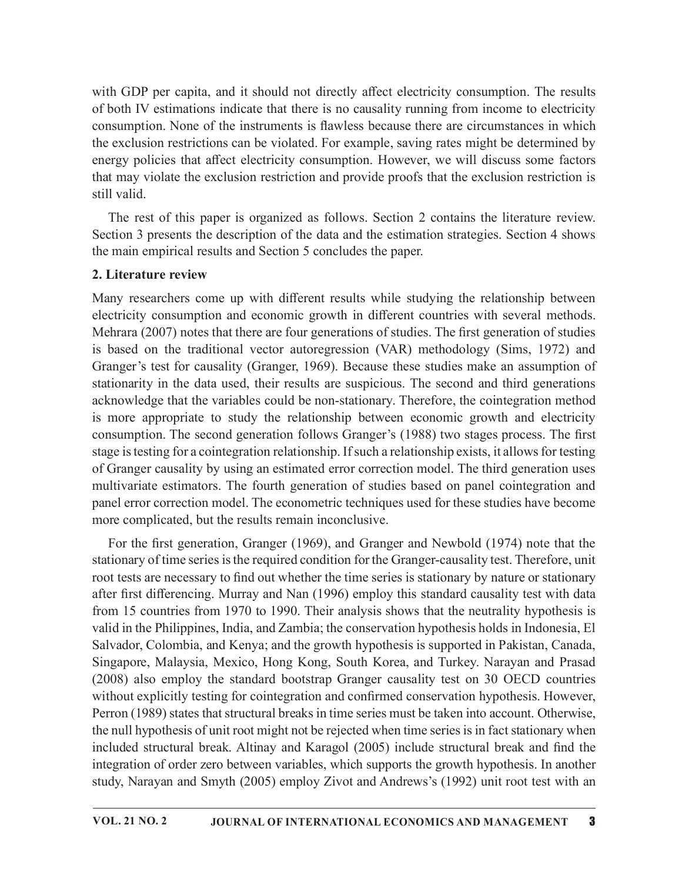with GDP per capita, and it should not directly affect electricity consumption. The results of both IV estimations indicate that there is no causality running from income to electricity consumption. None of the instruments is flawless because there are circumstances in which the exclusion restrictions can be violated. For example, saving rates might be determined by energy policies that affect electricity consumption. However, we will discuss some factors that may violate the exclusion restriction and provide proofs that the exclusion restriction is still valid.

The rest of this paper is organized as follows. Section 2 contains the literature review. Section 3 presents the description of the data and the estimation strategies. Section 4 shows the main empirical results and Section 5 concludes the paper.

### 2. Literature review

Many researchers come up with different results while studying the relationship between electricity consumption and economic growth in different countries with several methods. Mehrara (2007) notes that there are four generations of studies. The first generation of studies is based on the traditional vector autoregression (VAR) methodology (Sims, 1972) and Granger's test for causality (Granger, 1969). Because these studies make an assumption of stationarity in the data used, their results are suspicious. The second and third generations acknowledge that the variables could be non-stationary. Therefore, the cointegration method is more appropriate to study the relationship between economic growth and electricity consumption. The second generation follows Granger's (1988) two stages process. The first stage is testing for a cointegration relationship. If such a relationship exists, it allows for testing of Granger causality by using an estimated error correction model. The third generation uses multivariate estimators. The fourth generation of studies based on panel cointegration and panel error correction model. The econometric techniques used for these studies have become more complicated, but the results remain inconclusive.

For the first generation, Granger (1969), and Granger and Newbold (1974) note that the stationary of time series is the required condition for the Granger-causality test. Therefore, unit root tests are necessary to find out whether the time series is stationary by nature or stationary after first differencing. Murray and Nan (1996) employ this standard causality test with data from 15 countries from 1970 to 1990. Their analysis shows that the neutrality hypothesis is valid in the Philippines, India, and Zambia; the conservation hypothesis holds in Indonesia, El Salvador, Colombia, and Kenya; and the growth hypothesis is supported in Pakistan, Canada, Singapore, Malaysia, Mexico, Hong Kong, South Korea, and Turkey. Narayan and Prasad (2008) also employ the standard bootstrap Granger causality test on 30 OECD countries without explicitly testing for cointegration and confirmed conservation hypothesis. However, Perron (1989) states that structural breaks in time series must be taken into account. Otherwise, the null hypothesis of unit root might not be rejected when time series is in fact stationary when included structural break. Altinay and Karagol (2005) include structural break and find the integration of order zero between variables, which supports the growth hypothesis. In another study, Narayan and Smyth (2005) employ Zivot and Andrews's (1992) unit root test with an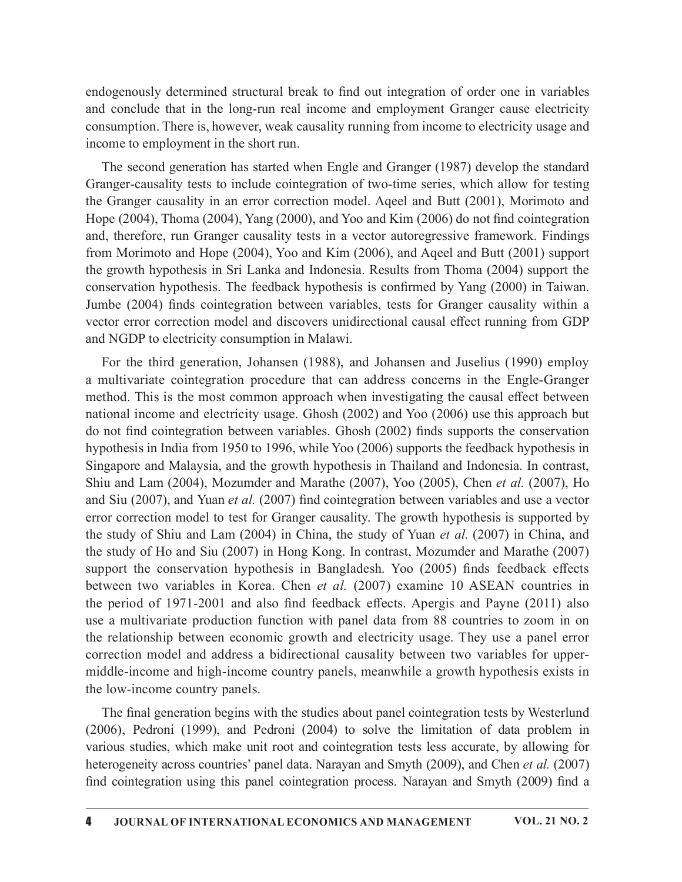endogenously determined structural break to find out integration of order one in variables and conclude that in the long-run real income and employment Granger cause electricity consumption. There is, however, weak causality running from income to electricity usage and income to employment in the short run.

The second generation has started when Engle and Granger (1987) develop the standard Granger-causality tests to include cointegration of two-time series, which allow for testing the Granger causality in an error correction model. Aqeel and Butt (2001), Morimoto and Hope  $(2004)$ , Thoma  $(2004)$ , Yang  $(2000)$ , and Yoo and Kim  $(2006)$  do not find cointegration and, therefore, run Granger causality tests in a vector autoregressive framework. Findings from Morimoto and Hope (2004), Yoo and Kim (2006), and Aqeel and Butt (2001) support the growth hypothesis in Sri Lanka and Indonesia. Results from Thoma (2004) support the conservation hypothesis. The feedback hypothesis is confirmed by Yang (2000) in Taiwan. endogenously determined structural break to find out integration of order one in variables<br>and conclude that in the long-run real income and employment Granger cause electricity<br>consumption. There is, however, weak causali vector error correction model and discovers unidirectional causal effect running from GDP and NGDP to electricity consumption in Malawi.

For the third generation, Johansen (1988), and Johansen and Juselius (1990) employ a multivariate cointegration procedure that can address concerns in the Engle-Granger method. This is the most common approach when investigating the causal effect between national income and electricity usage. Ghosh (2002) and Yoo (2006) use this approach but do not find cointegration between variables. Ghosh (2002) finds supports the conservation hypothesis in India from 1950 to 1996, while Yoo (2006) supports the feedback hypothesis in Singapore and Malaysia, and the growth hypothesis in Thailand and Indonesia. In contrast, Shiu and Lam (2004), Mozumder and Marathe (2007), Yoo (2005), Chen et al. (2007), Ho and Siu (2007), and Yuan et al. (2007) find cointegration between variables and use a vector error correction model to test for Granger causality. The growth hypothesis is supported by the study of Shiu and Lam (2004) in China, the study of Yuan et al. (2007) in China, and the study of Ho and Siu (2007) in Hong Kong. In contrast, Mozumder and Marathe (2007) Jumbe (2004) finds cointegration between variables, tests for Granger causality within a<br>vector error correction model and discovers unidirectional causal effect running from GDP<br>and NGDP to electricity consumption in Mal between two variables in Korea. Chen et al. (2007) examine 10 ASEAN countries in and NGDP to electricity consumption in Malawi.<br>
For the third generation, Johansen (1988), and Johansen and Jusclius (1990) employ<br>
an audivariate cointegration procedure that can address concerns in the Engle-Granger<br>
me use a multivariate production function with panel data from 88 countries to zoom in on the relationship between economic growth and electricity usage. They use a panel error correction model and address a bidirectional causality between two variables for uppermiddle-income and high-income country panels, meanwhile a growth hypothesis exists in the low-income country panels. mentro correction model to test for Granger causality. The growth hypothesis is supported by<br>the study of Shiu and Lam (2004) in China, the study of Yuan *et al.* (2007) in China, and<br>the study of Shiu and Lam (2004) in C

The final generation begins with the studies about panel cointegration tests by Westerlund (2006), Pedroni (1999), and Pedroni (2004) to solve the limitation of data problem in various studies, which make unit root and cointegration tests less accurate, by allowing for heterogeneity across countries' panel data. Narayan and Smyth (2009), and Chen et al. (2007)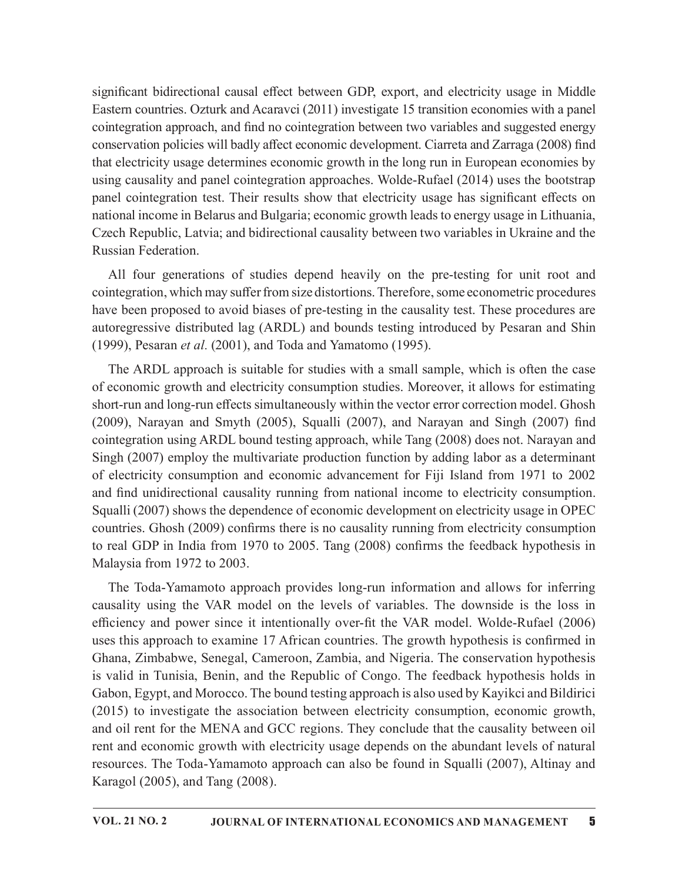significant bidirectional causal effect between GDP, export, and electricity usage in Middle Eastern countries. Ozturk and Acaravci (2011) investigate 15 transition economies with a panel cointegration approach, and find no cointegration between two variables and suggested energy conservation policies will badly affect economic development. Ciarreta and Zarraga (2008) find that electricity usage determines economic growth in the long run in European economies by using causality and panel cointegration approaches. Wolde-Rufael (2014) uses the bootstrap panel cointegration test. Their results show that electricity usage has significant effects on national income in Belarus and Bulgaria; economic growth leads to energy usage in Lithuania, Czech Republic, Latvia; and bidirectional causality between two variables in Ukraine and the Russian Federation.

All four generations of studies depend heavily on the pre-testing for unit root and cointegration, which may suffer from size distortions. Therefore, some econometric procedures have been proposed to avoid biases of pre-testing in the causality test. These procedures are autoregressive distributed lag (ARDL) and bounds testing introduced by Pesaran and Shin (1999), Pesaran et al. (2001), and Toda and Yamatomo (1995).

The ARDL approach is suitable for studies with a small sample, which is often the case of economic growth and electricity consumption studies. Moreover, it allows for estimating short-run and long-run effects simultaneously within the vector error correction model. Ghosh conservation pointes will bough and Conservation development. Clarieta and Zainaga (2006) jimal conservation points are also that clerific ty using causality and panel cointegration approaches. Wolde-Rufael (2014) uses the cointegration using ARDL bound testing approach, while Tang (2008) does not. Narayan and Singh (2007) employ the multivariate production function by adding labor as a determinant of electricity consumption and economic advancement for Fiji Island from 1971 to 2002 and find unidirectional causality running from national income to electricity consumption. Squalli (2007) shows the dependence of economic development on electricity usage in OPEC countries. Ghosh (2009) confirms there is no causality running from electricity consumption to real GDP in India from 1970 to 2005. Tang  $(2008)$  confirms the feedback hypothesis in Malaysia from 1972 to 2003.

The Toda-Yamamoto approach provides long-run information and allows for inferring causality using the VAR model on the levels of variables. The downside is the loss in efficiency and power since it intentionally over-fit the VAR model. Wolde-Rufael (2006) uses this approach to examine 17 African countries. The growth hypothesis is confirmed in Ghana, Zimbabwe, Senegal, Cameroon, Zambia, and Nigeria. The conservation hypothesis is valid in Tunisia, Benin, and the Republic of Congo. The feedback hypothesis holds in Gabon, Egypt, and Morocco. The bound testing approach is also used by Kayikci and Bildirici (2015) to investigate the association between electricity consumption, economic growth, and oil rent for the MENA and GCC regions. They conclude that the causality between oil rent and economic growth with electricity usage depends on the abundant levels of natural resources. The Toda-Yamamoto approach can also be found in Squalli (2007), Altinay and Karagol (2005), and Tang (2008).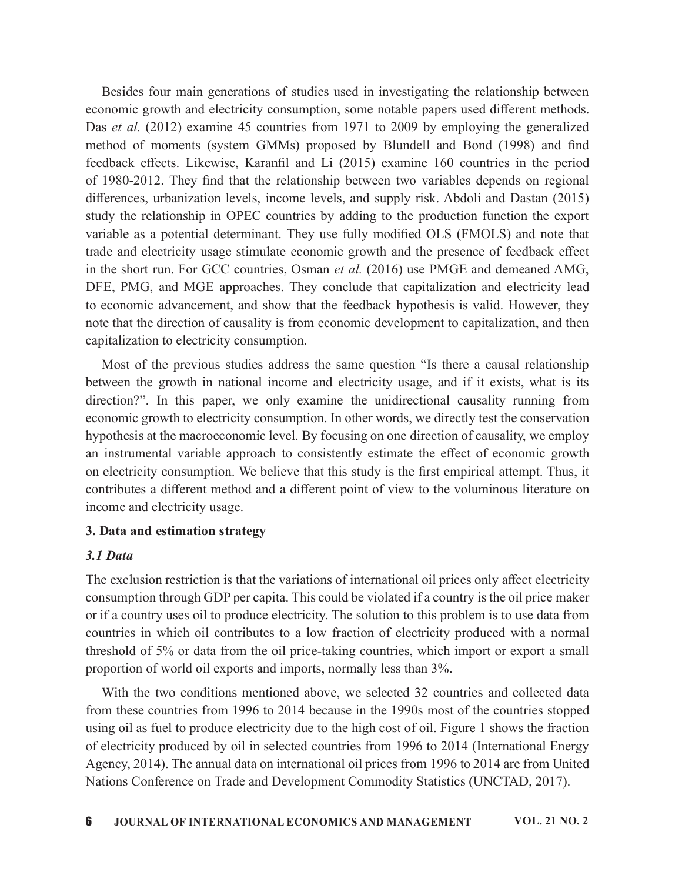Besides four main generations of studies used in investigating the relationship between economic growth and electricity consumption, some notable papers used different methods. Das *et al.* (2012) examine 45 countries from 1971 to 2009 by employing the generalized Besides four main generations of studies used in investigating the relationship between<br>economic growth and electricity consumption, some notable papers used different methods.<br>Das *et al.* (2012) examine 45 countries from feedback effects. Likewise, Karanfil and Li (2015) examine 160 countries in the period Besides four main generations of studies used in investigating the relationship between<br>economic growth and electricity consumption, some notable papers used different methods.<br>Das *et al.* (2012) examine 45 countries from differences, urbanization levels, income levels, and supply risk. Abdoli and Dastan (2015) study the relationship in OPEC countries by adding to the production function the export variable as a potential determinant. They use fully modified OLS (FMOLS) and note that trade and electricity usage stimulate economic growth and the presence of feedback effect in the short run. For GCC countries, Osman et al. (2016) use PMGE and demeaned AMG, DFE, PMG, and MGE approaches. They conclude that capitalization and electricity lead to economic advancement, and show that the feedback hypothesis is valid. However, they note that the direction of causality is from economic development to capitalization, and then capitalization to electricity consumption.

Most of the previous studies address the same question "Is there a causal relationship between the growth in national income and electricity usage, and if it exists, what is its direction?". In this paper, we only examine the unidirectional causality running from economic growth to electricity consumption. In other words, we directly test the conservation hypothesis at the macroeconomic level. By focusing on one direction of causality, we employ an instrumental variable approach to consistently estimate the effect of economic growth on electricity consumption. We believe that this study is the first empirical attempt. Thus, it contributes a different method and a different point of view to the voluminous literature on income and electricity usage.

### 3. Data and estimation strategy

#### 3.1 Data

The exclusion restriction is that the variations of international oil prices only affect electricity consumption through GDP per capita. This could be violated if a country is the oil price maker or if a country uses oil to produce electricity. The solution to this problem is to use data from countries in which oil contributes to a low fraction of electricity produced with a normal threshold of 5% or data from the oil price-taking countries, which import or export a small proportion of world oil exports and imports, normally less than 3%.

With the two conditions mentioned above, we selected 32 countries and collected data from these countries from 1996 to 2014 because in the 1990s most of the countries stopped using oil as fuel to produce electricity due to the high cost of oil. Figure 1 shows the fraction of electricity produced by oil in selected countries from 1996 to 2014 (International Energy Agency, 2014). The annual data on international oil prices from 1996 to 2014 are from United Nations Conference on Trade and Development Commodity Statistics (UNCTAD, 2017).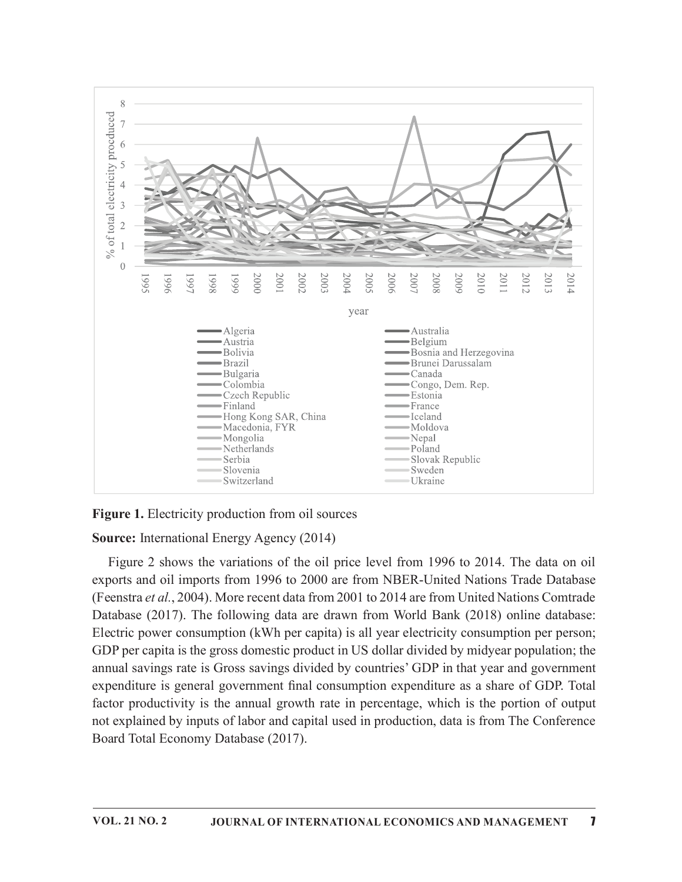

### Figure 1. Electricity production from oil sources

### Source: International Energy Agency (2014)

Figure 2 shows the variations of the oil price level from 1996 to 2014. The data on oil exports and oil imports from 1996 to 2000 are from NBER-United Nations Trade Database (Feenstra et al., 2004). More recent data from 2001 to 2014 are from United Nations Comtrade Database (2017). The following data are drawn from World Bank (2018) online database: Electric power consumption (kWh per capita) is all year electricity consumption per person; GDP per capita is the gross domestic product in US dollar divided by midyear population; the annual savings rate is Gross savings divided by countries' GDP in that year and government expenditure is general government final consumption expenditure as a share of GDP. Total factor productivity is the annual growth rate in percentage, which is the portion of output not explained by inputs of labor and capital used in production, data is from The Conference Board Total Economy Database (2017).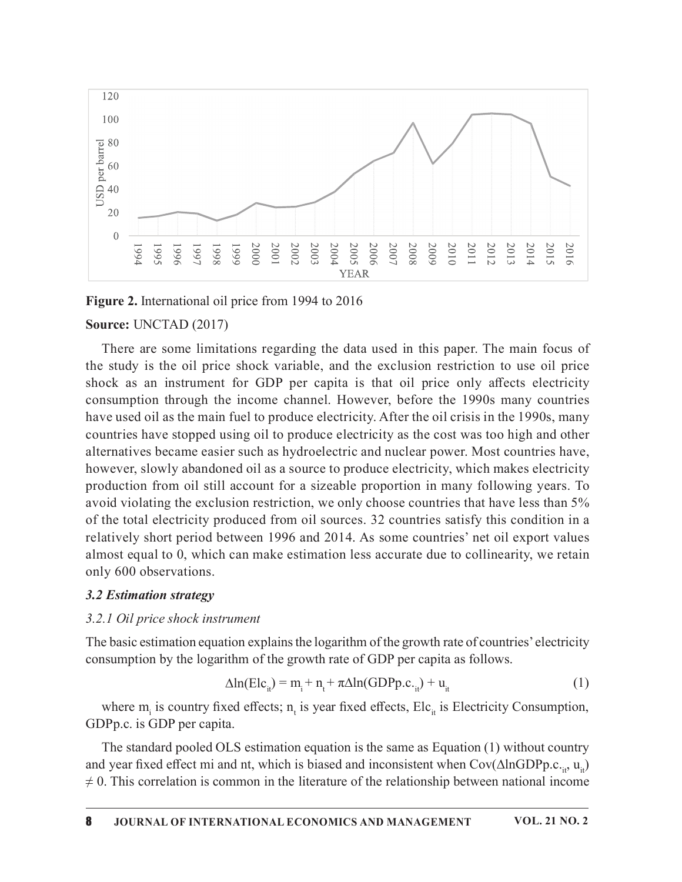

Figure 2. International oil price from 1994 to 2016

#### Source: UNCTAD (2017)

There are some limitations regarding the data used in this paper. The main focus of the study is the oil price shock variable, and the exclusion restriction to use oil price shock as an instrument for GDP per capita is that oil price only affects electricity consumption through the income channel. However, before the 1990s many countries have used oil as the main fuel to produce electricity. After the oil crisis in the 1990s, many countries have stopped using oil to produce electricity as the cost was too high and other alternatives became easier such as hydroelectric and nuclear power. Most countries have, however, slowly abandoned oil as a source to produce electricity, which makes electricity production from oil still account for a sizeable proportion in many following years. To avoid violating the exclusion restriction, we only choose countries that have less than 5% of the total electricity produced from oil sources. 32 countries satisfy this condition in a relatively short period between 1996 and 2014. As some countries' net oil export values almost equal to 0, which can make estimation less accurate due to collinearity, we retain only 600 observations.

#### 3.2 Estimation strategy

#### 3.2.1 Oil price shock instrument

The basic estimation equation explains the logarithm of the growth rate of countries' electricity consumption by the logarithm of the growth rate of GDP per capita as follows.

$$
\Delta \ln(\text{Elc}_{i}) = m_{i} + n_{t} + \pi \Delta \ln(\text{GDPp.c.}_{i}) + u_{it}
$$
 (1)

where  $m_i$  is country fixed effects;  $n_t$  is year fixed effects, Elc<sub>it</sub> is Electricity Consumption, GDPp.c. is GDP per capita.

The standard pooled OLS estimation equation is the same as Equation (1) without country and year fixed effect mi and nt, which is biased and inconsistent when Cov( $\Delta$ lnGDPp.c.<sub>it</sub>, u<sub>it</sub>)  $\neq$  0. This correlation is common in the literature of the relationship between national income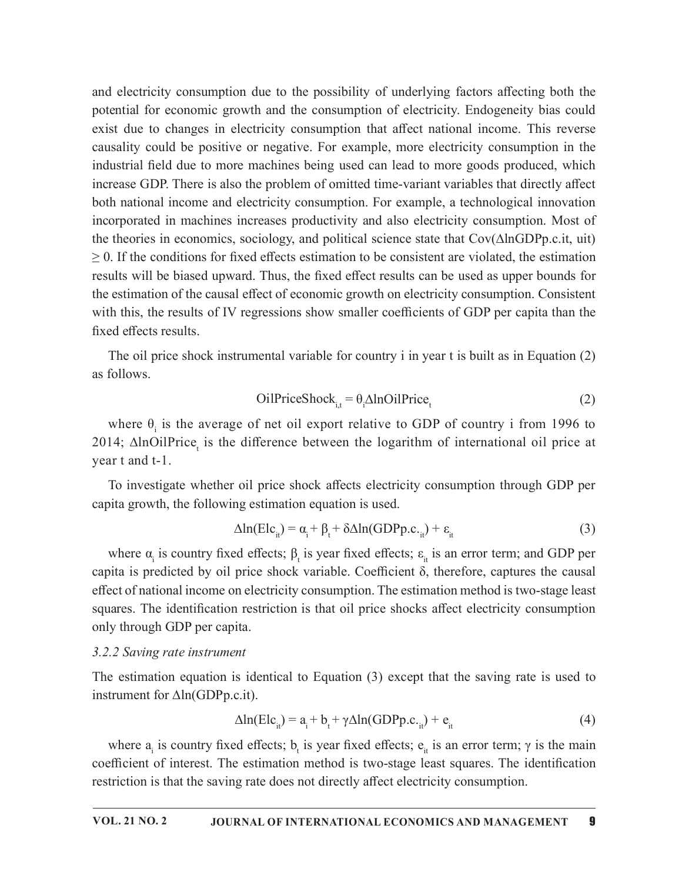and electricity consumption due to the possibility of underlying factors a൵ecting both the potential for economic growth and the consumption of electricity. Endogeneity bias could exist due to changes in electricity consumption that affect national income. This reverse causality could be positive or negative. For example, more electricity consumption in the industrial field due to more machines being used can lead to more goods produced, which increase GDP. There is also the problem of omitted time-variant variables that directly affect both national income and electricity consumption. For example, a technological innovation incorporated in machines increases productivity and also electricity consumption. Most of the theories in economics, sociology, and political science state that Cov(∆lnGDPp.c.it, uit)  $\geq$  0. If the conditions for fixed effects estimation to be consistent are violated, the estimation results will be biased upward. Thus, the fixed effect results can be used as upper bounds for the estimation of the causal effect of economic growth on electricity consumption. Consistent with this, the results of IV regressions show smaller coefficients of GDP per capita than the fixed effects results.

The oil price shock instrumental variable for country i in year t is built as in Equation (2) as follows.

$$
OilPriceShocki,t = \theta_i \Delta InOilPricet
$$
 (2)

where  $\theta_i$  is the average of net oil export relative to GDP of country i from 1996 to 2014; ∆lnOilPrice<sub>t</sub> is the difference between the logarithm of international oil price at year t and t-1.

To investigate whether oil price shock affects electricity consumption through GDP per capita growth, the following estimation equation is used.

$$
\Delta \ln(\text{Elc}_{it}) = \alpha_i + \beta_t + \delta \Delta \ln(\text{GDPp.c.}_{it}) + \varepsilon_{it}
$$
 (3)

where  $\alpha_i$  is country fixed effects;  $\beta_t$  is year fixed effects;  $\varepsilon_{it}$  is an error term; and GDP per capita is predicted by oil price shock variable. Coefficient  $\delta$ , therefore, captures the causal effect of national income on electricity consumption. The estimation method is two-stage least squares. The identification restriction is that oil price shocks affect electricity consumption only through GDP per capita.

#### 3.2.2 Saving rate instrument

The estimation equation is identical to Equation (3) except that the saving rate is used to instrument for ∆ln(GDPp.c.it).

$$
\Delta \ln(\text{Elc}_{i}) = a_i + b_t + \gamma \Delta \ln(\text{GDPp.c.}_{i}) + e_{i}
$$
 (4)

where  $a_i$  is country fixed effects;  $b_i$  is year fixed effects;  $e_{it}$  is an error term;  $\gamma$  is the main coefficient of interest. The estimation method is two-stage least squares. The identification restriction is that the saving rate does not directly affect electricity consumption.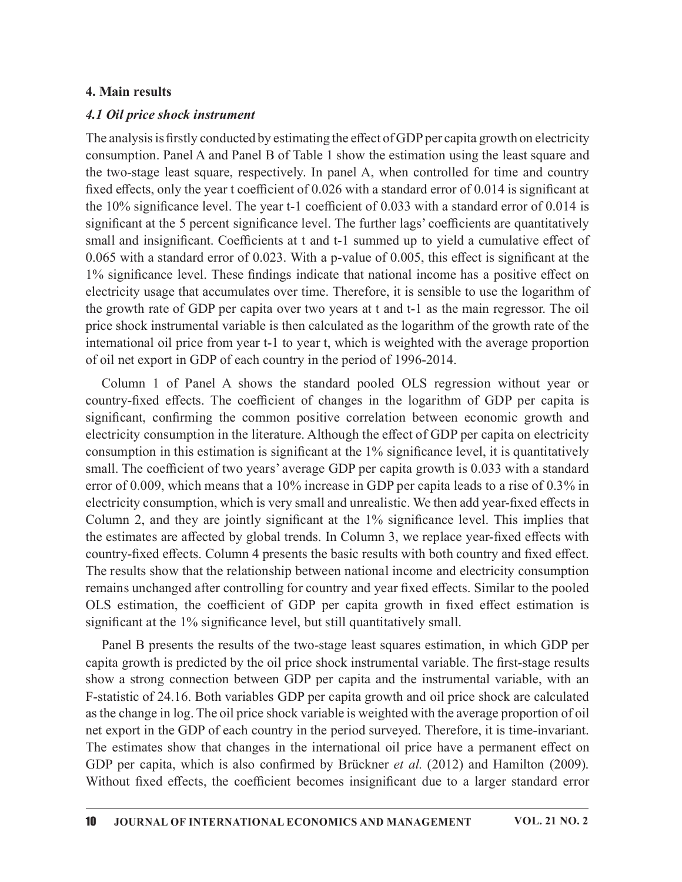### 4. Main results

#### 4.1 Oil price shock instrument

The analysis is firstly conducted by estimating the effect of GDP per capita growth on electricity consumption. Panel A and Panel B of Table 1 show the estimation using the least square and the two-stage least square, respectively. In panel A, when controlled for time and country fixed effects, only the year t coefficient of  $0.026$  with a standard error of  $0.014$  is significant at the 10% significance level. The year t-1 coefficient of 0.033 with a standard error of 0.014 is significant at the 5 percent significance level. The further lags' coefficients are quantitatively small and insignificant. Coefficients at t and t-1 summed up to yield a cumulative effect of 0.065 with a standard error of 0.023. With a p-value of 0.005, this effect is significant at the 1% significance level. These findings indicate that national income has a positive effect on electricity usage that accumulates over time. Therefore, it is sensible to use the logarithm of the growth rate of GDP per capita over two years at t and t-1 as the main regressor. The oil price shock instrumental variable is then calculated as the logarithm of the growth rate of the international oil price from year t-1 to year t, which is weighted with the average proportion of oil net export in GDP of each country in the period of 1996-2014.

Column 1 of Panel A shows the standard pooled OLS regression without year or country-fixed effects. The coefficient of changes in the logarithm of GDP per capita is significant, confirming the common positive correlation between economic growth and electricity consumption in the literature. Although the effect of GDP per capita on electricity consumption in this estimation is significant at the  $1\%$  significance level, it is quantitatively small. The coefficient of two years' average GDP per capita growth is 0.033 with a standard error of 0.009, which means that a 10% increase in GDP per capita leads to a rise of 0.3% in electricity consumption, which is very small and unrealistic. We then add year-fixed effects in Column 2, and they are jointly significant at the  $1\%$  significance level. This implies that the estimates are affected by global trends. In Column 3, we replace year-fixed effects with country-fixed effects. Column 4 presents the basic results with both country and fixed effect. The results show that the relationship between national income and electricity consumption remains unchanged after controlling for country and year fixed effects. Similar to the pooled prese stimation and and the coefficient of the coefficient of GDP per capital growth in the coefficient of column 1 of Panel A shows the standard pooled OLS regression without year or of GDP per capita is country in the pe significant at the 1% significance level, but still quantitatively small.

Panel B presents the results of the two-stage least squares estimation, in which GDP per capita growth is predicted by the oil price shock instrumental variable. The first-stage results show a strong connection between GDP per capita and the instrumental variable, with an F-statistic of 24.16. Both variables GDP per capita growth and oil price shock are calculated as the change in log. The oil price shock variable is weighted with the average proportion of oil net export in the GDP of each country in the period surveyed. Therefore, it is time-invariant. The estimates show that changes in the international oil price have a permanent effect on GDP per capita, which is also confirmed by Brückner et al. (2012) and Hamilton (2009). Ecclemental variables, the method of the coefficient of the method of the coefficient of the significant at the 1% significance level. This implies that the estimates are affected by global trends. In Column 3, we replace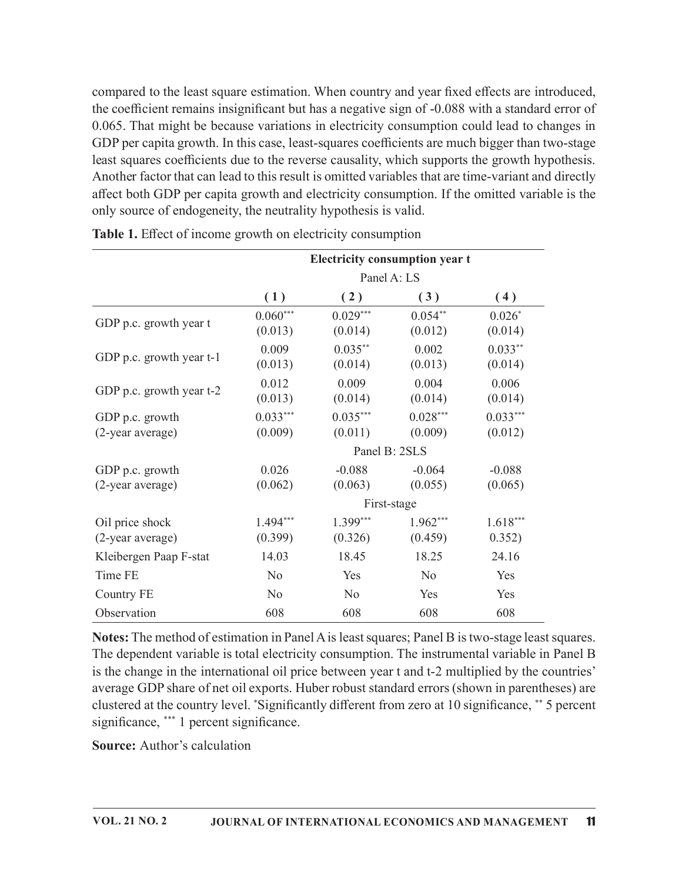compared to the least square estimation. When country and year fixed effects are introduced, the coefficient remains insignificant but has a negative sign of -0.088 with a standard error of 0.065. That might be because variations in electricity consumption could lead to changes in GDP per capita growth. In this case, least-squares coefficients are much bigger than two-stage least squares coefficients due to the reverse causality, which supports the growth hypothesis. Another factor that can lead to this result is omitted variables that are time-variant and directly affect both GDP per capita growth and electricity consumption. If the omitted variable is the only source of endogeneity, the neutrality hypothesis is valid. imation. When country and year fixed effects are introduced,<br>cant but has a negative sign of -0.088 with a standard error of<br>ariations in electricity consumption could lead to changes in<br>ase, least-squares coefficients ar

|                                     |                       |                       | Electricity consumption year t |                       |
|-------------------------------------|-----------------------|-----------------------|--------------------------------|-----------------------|
|                                     |                       |                       | Panel A: LS                    |                       |
|                                     | (1)                   | (2)                   | (3)                            | (4)                   |
| GDP p.c. growth year t              | $0.060***$<br>(0.013) | $0.029***$<br>(0.014) | $0.054**$<br>(0.012)           | $0.026*$<br>(0.014)   |
| GDP p.c. growth year t-1            | 0.009<br>(0.013)      | $0.035***$<br>(0.014) | 0.002<br>(0.013)               | $0.033**$<br>(0.014)  |
| GDP p.c. growth year t-2            | 0.012<br>(0.013)      | 0.009<br>(0.014)      | 0.004<br>(0.014)               | 0.006<br>(0.014)      |
| GDP p.c. growth<br>(2-year average) | $0.033***$<br>(0.009) | $0.035***$<br>(0.011) | $0.028***$<br>(0.009)          | $0.033***$<br>(0.012) |
|                                     |                       |                       | Panel B: 2SLS                  |                       |
| GDP p.c. growth<br>(2-year average) | 0.026<br>(0.062)      | $-0.088$<br>(0.063)   | $-0.064$<br>(0.055)            | $-0.088$<br>(0.065)   |
|                                     |                       |                       | First-stage                    |                       |
| Oil price shock<br>(2-year average) | $1.494***$<br>(0.399) | $1.399***$<br>(0.326) | $1.962***$<br>(0.459)          | $1.618***$<br>0.352)  |
| Kleibergen Paap F-stat              | 14.03                 | 18.45                 | 18.25                          | 24.16                 |
| Time FE                             | N <sub>o</sub>        | Yes                   | N <sub>o</sub>                 | Yes                   |
| <b>Country FE</b>                   | N <sub>o</sub>        | N <sub>o</sub>        | Yes                            | Yes                   |
|                                     | 608                   | 608                   | 608                            | 608                   |

Table 1. Effect of income growth on electricity consumption

Notes: The method of estimation in Panel A is least squares; Panel B is two-stage least squares. The dependent variable is total electricity consumption. The instrumental variable in Panel B is the change in the international oil price between year t and t-2 multiplied by the countries' average GDP share of net oil exports. Huber robust standard errors (shown in parentheses) are clustered at the country level. \*Significantly different from zero at 10 significance, \*\* 5 percent significance, \*\*\* 1 percent significance.

Source: Author's calculation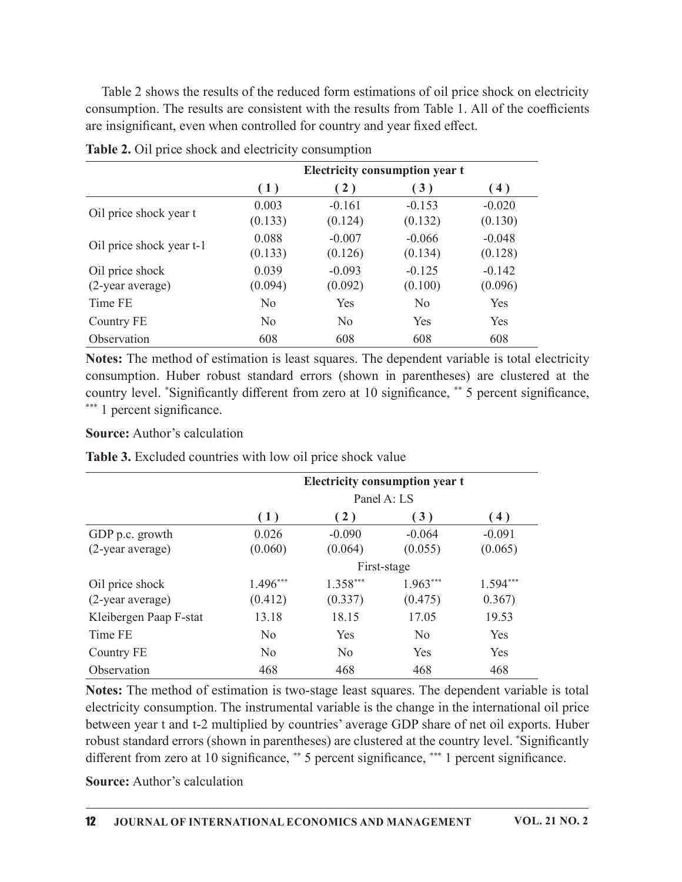| Table 2 shows the results of the reduced form estimations of oil price shock on electricity<br>consumption. The results are consistent with the results from Table 1. All of the coefficients<br>are insignificant, even when controlled for country and year fixed effect.<br>Table 2. Oil price shock and electricity consumption<br><b>Electricity consumption year t</b><br>(1)<br>(2)<br>(3)<br>(4)<br>0.003<br>$-0.153$<br>$-0.161$<br>$-0.020$<br>Oil price shock year t<br>(0.133)<br>(0.132)<br>(0.130)<br>(0.124) |
|-----------------------------------------------------------------------------------------------------------------------------------------------------------------------------------------------------------------------------------------------------------------------------------------------------------------------------------------------------------------------------------------------------------------------------------------------------------------------------------------------------------------------------|
|                                                                                                                                                                                                                                                                                                                                                                                                                                                                                                                             |
|                                                                                                                                                                                                                                                                                                                                                                                                                                                                                                                             |
|                                                                                                                                                                                                                                                                                                                                                                                                                                                                                                                             |
|                                                                                                                                                                                                                                                                                                                                                                                                                                                                                                                             |
|                                                                                                                                                                                                                                                                                                                                                                                                                                                                                                                             |
|                                                                                                                                                                                                                                                                                                                                                                                                                                                                                                                             |
|                                                                                                                                                                                                                                                                                                                                                                                                                                                                                                                             |
|                                                                                                                                                                                                                                                                                                                                                                                                                                                                                                                             |
|                                                                                                                                                                                                                                                                                                                                                                                                                                                                                                                             |
|                                                                                                                                                                                                                                                                                                                                                                                                                                                                                                                             |
|                                                                                                                                                                                                                                                                                                                                                                                                                                                                                                                             |
|                                                                                                                                                                                                                                                                                                                                                                                                                                                                                                                             |
|                                                                                                                                                                                                                                                                                                                                                                                                                                                                                                                             |
| 0.088<br>$-0.007$<br>$-0.066$<br>$-0.048$<br>Oil price shock year t-1                                                                                                                                                                                                                                                                                                                                                                                                                                                       |
| (0.133)<br>(0.126)<br>(0.128)<br>(0.134)                                                                                                                                                                                                                                                                                                                                                                                                                                                                                    |
| Oil price shock<br>0.039<br>$-0.093$<br>$-0.125$<br>$-0.142$                                                                                                                                                                                                                                                                                                                                                                                                                                                                |
| (2-year average)<br>(0.094)<br>(0.092)<br>(0.096)<br>(0.100)                                                                                                                                                                                                                                                                                                                                                                                                                                                                |
| Time FE<br>N <sub>o</sub><br>Yes<br>N <sub>0</sub><br>Yes                                                                                                                                                                                                                                                                                                                                                                                                                                                                   |
| <b>Country FE</b><br>N <sub>o</sub><br>Yes<br>Yes<br>N <sub>0</sub>                                                                                                                                                                                                                                                                                                                                                                                                                                                         |
| 608<br>608<br>608<br>Observation<br>608                                                                                                                                                                                                                                                                                                                                                                                                                                                                                     |
| Notes: The method of estimation is least squares. The dependent variable is total electricity                                                                                                                                                                                                                                                                                                                                                                                                                               |
| consumption. Huber robust standard errors (shown in parentheses) are clustered at the                                                                                                                                                                                                                                                                                                                                                                                                                                       |

Table 2. Oil price shock and electricity consumption

#### Source: Author's calculation

|                                                                                                                                                                                                                                                                                                                           | (0.133)        | (0.126)        | (0.134)                               | (0.128)    |
|---------------------------------------------------------------------------------------------------------------------------------------------------------------------------------------------------------------------------------------------------------------------------------------------------------------------------|----------------|----------------|---------------------------------------|------------|
| Oil price shock                                                                                                                                                                                                                                                                                                           | 0.039          | $-0.093$       | $-0.125$                              | $-0.142$   |
| (2-year average)                                                                                                                                                                                                                                                                                                          | (0.094)        | (0.092)        | (0.100)                               | (0.096)    |
| Time FE                                                                                                                                                                                                                                                                                                                   | N <sub>o</sub> | Yes            | N <sub>o</sub>                        | Yes        |
| <b>Country FE</b>                                                                                                                                                                                                                                                                                                         | N <sub>o</sub> | N <sub>o</sub> | Yes                                   | Yes        |
| Observation                                                                                                                                                                                                                                                                                                               | 608            | 608            | 608                                   | 608        |
| Notes: The method of estimation is least squares. The dependent variable is total electricity<br>consumption. Huber robust standard errors (shown in parentheses) are clustered at the<br>country level. *Significantly different from zero at 10 significance, ** 5 percent significance,<br>*** 1 percent significance. |                |                |                                       |            |
| <b>Source:</b> Author's calculation                                                                                                                                                                                                                                                                                       |                |                |                                       |            |
| Table 3. Excluded countries with low oil price shock value                                                                                                                                                                                                                                                                |                |                |                                       |            |
|                                                                                                                                                                                                                                                                                                                           |                |                | <b>Electricity consumption year t</b> |            |
|                                                                                                                                                                                                                                                                                                                           |                |                | Panel A: LS                           |            |
|                                                                                                                                                                                                                                                                                                                           | (1)            | (2)            | (3)                                   | (4)        |
| GDP p.c. growth                                                                                                                                                                                                                                                                                                           | 0.026          | $-0.090$       | $-0.064$                              | $-0.091$   |
| (2-year average)                                                                                                                                                                                                                                                                                                          | (0.060)        | (0.064)        | (0.055)                               | (0.065)    |
|                                                                                                                                                                                                                                                                                                                           |                |                | First-stage                           |            |
| Oil price shock                                                                                                                                                                                                                                                                                                           | $1.496***$     | $1.358***$     | $1.963***$                            | $1.594***$ |
| (2-year average)                                                                                                                                                                                                                                                                                                          | (0.412)        | (0.337)        | (0.475)                               | 0.367)     |
|                                                                                                                                                                                                                                                                                                                           | 13.18          | 18.15          | 17.05                                 | 19.53      |
| Kleibergen Paap F-stat                                                                                                                                                                                                                                                                                                    |                |                | N <sub>o</sub>                        | Yes        |
| Time FE                                                                                                                                                                                                                                                                                                                   | N <sub>o</sub> | Yes            |                                       |            |
| Country FE                                                                                                                                                                                                                                                                                                                | N <sub>o</sub> | N <sub>o</sub> | Yes                                   | Yes        |

Notes: The method of estimation is two-stage least squares. The dependent variable is total electricity consumption. The instrumental variable is the change in the international oil price between year t and t-2 multiplied by countries'average GDP share of net oil exports. Huber robust standard errors (shown in parentheses) are clustered at the country level. \*Significantly different from zero at 10 significance, \*\* 5 percent significance, \*\*\* 1 percent significance.

Source: Author's calculation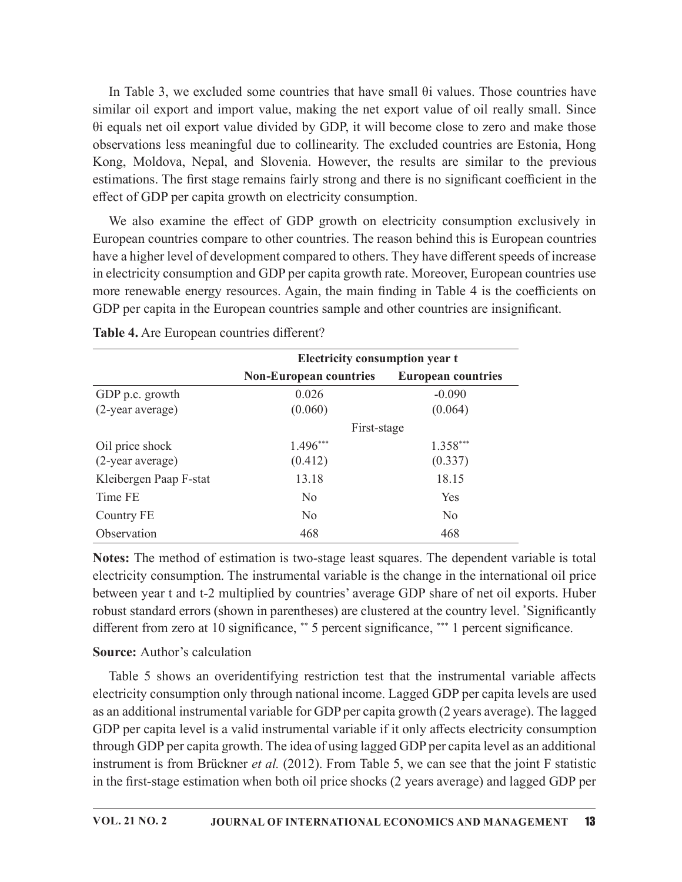In Table 3, we excluded some countries that have small  $\theta$ i values. Those countries have similar oil export and import value, making the net export value of oil really small. Since θi equals net oilexport value divided by GDP, it will become close to zero and make those observations less meaningful due to collinearity. The excluded countries are Estonia, Hong Kong, Moldova, Nepal, and Slovenia. However, the results are similar to the previous estimations. The first stage remains fairly strong and there is no significant coefficient in the effect of GDP per capita growth on electricity consumption. or value, making the net export value of oil really small. Since<br>
divided by GDP, it will become close to zero and make those<br>
did the to collinearity. The excluded countries are Estonia, Hong<br>
did Slovenia. However, the

|                                            | We also examine the effect of GDP growth on electricity consumption exclusively in<br>European countries compare to other countries. The reason behind this is European countries<br>have a higher level of development compared to others. They have different speeds of increase<br>in electricity consumption and GDP per capita growth rate. Moreover, European countries use<br>more renewable energy resources. Again, the main finding in Table 4 is the coefficients on<br>GDP per capita in the European countries sample and other countries are insignificant. |                           |
|--------------------------------------------|---------------------------------------------------------------------------------------------------------------------------------------------------------------------------------------------------------------------------------------------------------------------------------------------------------------------------------------------------------------------------------------------------------------------------------------------------------------------------------------------------------------------------------------------------------------------------|---------------------------|
| Table 4. Are European countries different? |                                                                                                                                                                                                                                                                                                                                                                                                                                                                                                                                                                           |                           |
|                                            | <b>Electricity consumption year t</b><br><b>Non-European countries</b>                                                                                                                                                                                                                                                                                                                                                                                                                                                                                                    | <b>European countries</b> |
| GDP p.c. growth                            | 0.026                                                                                                                                                                                                                                                                                                                                                                                                                                                                                                                                                                     | $-0.090$                  |
| (2-year average)                           | (0.060)                                                                                                                                                                                                                                                                                                                                                                                                                                                                                                                                                                   | (0.064)                   |
|                                            | First-stage                                                                                                                                                                                                                                                                                                                                                                                                                                                                                                                                                               |                           |
| Oil price shock<br>(2-year average)        | 1.496***<br>(0.412)                                                                                                                                                                                                                                                                                                                                                                                                                                                                                                                                                       | $1.358***$<br>(0.337)     |
| Kleibergen Paap F-stat                     | 13.18                                                                                                                                                                                                                                                                                                                                                                                                                                                                                                                                                                     | 18.15                     |
| Time FE                                    | N <sub>o</sub>                                                                                                                                                                                                                                                                                                                                                                                                                                                                                                                                                            | Yes                       |
| Country FE                                 | N <sub>0</sub>                                                                                                                                                                                                                                                                                                                                                                                                                                                                                                                                                            | N <sub>0</sub>            |
|                                            |                                                                                                                                                                                                                                                                                                                                                                                                                                                                                                                                                                           | 468                       |

Notes: The method of estimation is two-stage least squares. The dependent variable is total electricity consumption. The instrumental variable is the change in the international oil price between year t and t-2 multiplied by countries' average GDP share of net oil exports. Huber robust standard errors (shown in parentheses) are clustered at the country level. \*Significantly different from zero at 10 significance, \*\* 5 percent significance, \*\*\* 1 percent significance.

#### Source: Author's calculation

Table 5 shows an overidentifying restriction test that the instrumental variable affects electricity consumption only through national income. Lagged GDP per capita levels are used as an additional instrumental variable for GDP per capita growth (2 years average). The lagged GDP per capita level is a valid instrumental variable if it only affects electricity consumption through GDP per capita growth. The idea of using lagged GDP per capita level as an additional instrument is from Brückner *et al.* (2012). From Table 5, we can see that the joint F statistic in the first-stage estimation when both oil price shocks (2 years average) and lagged GDP per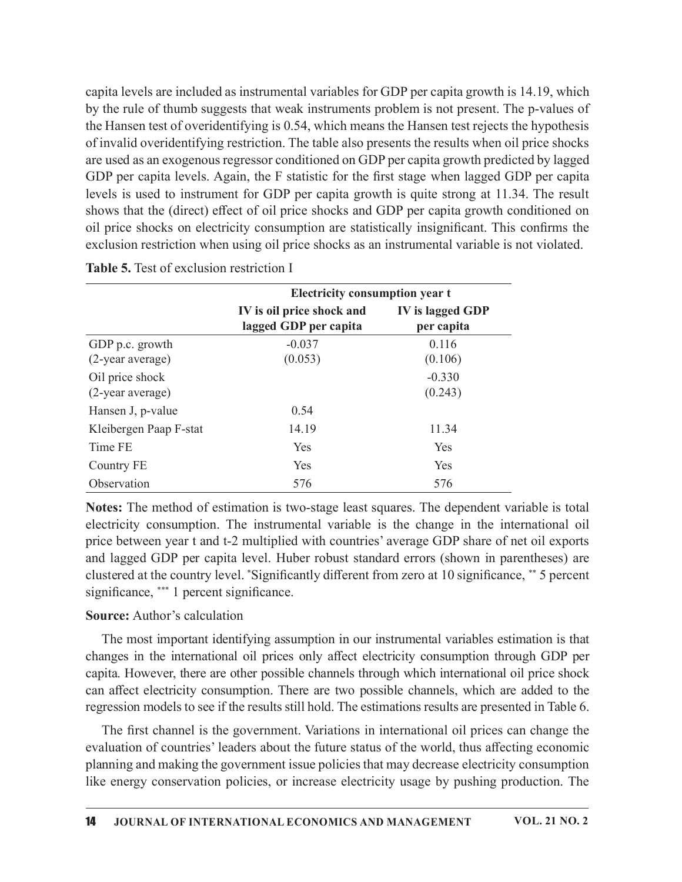capita levels are included as instrumental variables for GDP per capita growth is 14.19, which by the rule of thumb suggests that weak instruments problem is not present. The p-values of the Hansen test of overidentifying is 0.54, which means the Hansen test rejects the hypothesis of invalid overidentifying restriction. The table also presents the results when oil price shocks are used as an exogenous regressor conditioned on GDP per capita growth predicted by lagged GDP per capita levels. Again, the F statistic for the first stage when lagged GDP per capita levels is used to instrument for GDP per capita growth is quite strong at 11.34. The result shows that the (direct) effect of oil price shocks and GDP per capita growth conditioned on oil price shocks on electricity consumption are statistically insignificant. This confirms the exclusion restriction when using oil price shocks as an instrumental variable is not violated.

|                                          | of invalid overidentifying restriction. The table also presents the results when oil price shocks<br>are used as an exogenous regressor conditioned on GDP per capita growth predicted by lagged<br>GDP per capita levels. Again, the F statistic for the first stage when lagged GDP per capita<br>levels is used to instrument for GDP per capita growth is quite strong at 11.34. The result<br>shows that the (direct) effect of oil price shocks and GDP per capita growth conditioned on<br>oil price shocks on electricity consumption are statistically insignificant. This confirms the<br>exclusion restriction when using oil price shocks as an instrumental variable is not violated. |                                       |  |
|------------------------------------------|----------------------------------------------------------------------------------------------------------------------------------------------------------------------------------------------------------------------------------------------------------------------------------------------------------------------------------------------------------------------------------------------------------------------------------------------------------------------------------------------------------------------------------------------------------------------------------------------------------------------------------------------------------------------------------------------------|---------------------------------------|--|
| Table 5. Test of exclusion restriction I |                                                                                                                                                                                                                                                                                                                                                                                                                                                                                                                                                                                                                                                                                                    |                                       |  |
|                                          | <b>Electricity consumption year t</b><br>IV is oil price shock and<br>lagged GDP per capita                                                                                                                                                                                                                                                                                                                                                                                                                                                                                                                                                                                                        | <b>IV</b> is lagged GDP<br>per capita |  |
| GDP p.c. growth<br>(2-year average)      | $-0.037$<br>(0.053)                                                                                                                                                                                                                                                                                                                                                                                                                                                                                                                                                                                                                                                                                | 0.116<br>(0.106)                      |  |
| Oil price shock<br>(2-year average)      |                                                                                                                                                                                                                                                                                                                                                                                                                                                                                                                                                                                                                                                                                                    | $-0.330$<br>(0.243)                   |  |
| Hansen J, p-value                        | 0.54                                                                                                                                                                                                                                                                                                                                                                                                                                                                                                                                                                                                                                                                                               |                                       |  |
| Kleibergen Paap F-stat                   | 14.19                                                                                                                                                                                                                                                                                                                                                                                                                                                                                                                                                                                                                                                                                              | 11.34                                 |  |
| Time FE                                  | Yes                                                                                                                                                                                                                                                                                                                                                                                                                                                                                                                                                                                                                                                                                                | Yes                                   |  |
| Country FE                               | Yes                                                                                                                                                                                                                                                                                                                                                                                                                                                                                                                                                                                                                                                                                                | Yes                                   |  |
| Observation                              | 576                                                                                                                                                                                                                                                                                                                                                                                                                                                                                                                                                                                                                                                                                                | 576                                   |  |
|                                          | Notes: The method of estimation is two-stage least squares. The dependent variable is total<br>electricity consumption. The instrumental variable is the change in the international oil<br>price between year t and t-2 multiplied with countries' average GDP share of net oil exports<br>and lagged GDP per capita level. Huber robust standard errors (shown in parentheses) are                                                                                                                                                                                                                                                                                                               |                                       |  |

Notes: The method of estimation is two-stage least squares. The dependent variable is total electricity consumption. The instrumental variable is the change in the international oil price between year t and t-2 multiplied with countries'average GDP share of net oil exports and lagged GDP per capita level. Huber robust standard errors (shown in parentheses) are clustered at the country level. \*Significantly different from zero at 10 significance, \*\* 5 percent significance, \*\*\* 1 percent significance.

### Source: Author's calculation

The most important identifying assumption in our instrumental variables estimation is that changes in the international oil prices only affect electricity consumption through GDP per capita. However, there are other possible channels through which international oil price shock can a൵ect electricity consumption. There are two possible channels, which are added to the regression models to see if the results still hold. The estimations results are presented in Table 6.

The first channel is the government. Variations in international oil prices can change the evaluation of countries' leaders about the future status of the world, thus affecting economic planning and making the government issue policies that may decrease electricity consumption like energy conservation policies, or increase electricity usage by pushing production. The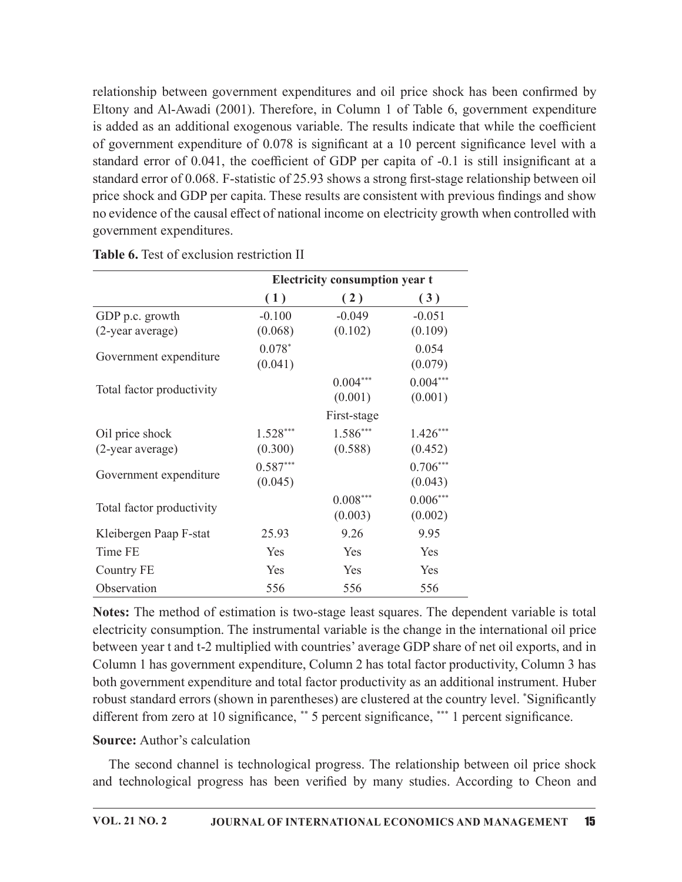relationship between government expenditures and oil price shock has been confirmed by Eltony and Al-Awadi (2001). Therefore, in Column 1 of Table 6, government expenditure is added as an additional exogenous variable. The results indicate that while the coefficient of government expenditure of  $0.078$  is significant at a 10 percent significance level with a standard error of 0.041, the coefficient of GDP per capita of -0.1 is still insignificant at a standard error of 0.068. F-statistic of 25.93 shows a strong first-stage relationship between oil price shock and GDP per capita. These results are consistent with previous findings and show no evidence of the causal effect of national income on electricity growth when controlled with government expenditures. example that the spenditures and oil price shock has been confirmed by<br>
therefore, in Column 1 of Table 6, government expenditure<br>
mous variable. The results indicate that while the coefficient<br>
of 0.078 is significant at

| (1)<br>(2)<br>(3)<br>GDP p.c. growth<br>$-0.100$<br>$-0.049$<br>$-0.051$<br>(0.102)<br>(0.109)<br>(0.068)<br>$0.078*$<br>0.054<br>(0.041)<br>(0.079)<br>$0.004***$<br>$0.004***$<br>Total factor productivity<br>(0.001)<br>(0.001)<br>First-stage<br>$1.528***$<br>$1.586***$<br>$1.426***$<br>(0.300)<br>(0.452)<br>(0.588)<br>$0.587***$<br>$0.706***$<br>(0.045)<br>(0.043)<br>$0.008***$<br>$0.006***$<br>Total factor productivity<br>(0.003)<br>(0.002)<br>9.95<br>25.93<br>9.26<br>Time FE<br>Yes<br>Yes<br>Yes<br>Yes<br>Yes<br>Yes |                  | Electricity consumption year t |  |
|----------------------------------------------------------------------------------------------------------------------------------------------------------------------------------------------------------------------------------------------------------------------------------------------------------------------------------------------------------------------------------------------------------------------------------------------------------------------------------------------------------------------------------------------|------------------|--------------------------------|--|
|                                                                                                                                                                                                                                                                                                                                                                                                                                                                                                                                              |                  |                                |  |
|                                                                                                                                                                                                                                                                                                                                                                                                                                                                                                                                              |                  |                                |  |
| Government expenditure                                                                                                                                                                                                                                                                                                                                                                                                                                                                                                                       | (2-year average) |                                |  |
|                                                                                                                                                                                                                                                                                                                                                                                                                                                                                                                                              |                  |                                |  |
| Oil price shock<br>(2-year average)<br>Government expenditure<br>Kleibergen Paap F-stat                                                                                                                                                                                                                                                                                                                                                                                                                                                      |                  |                                |  |
|                                                                                                                                                                                                                                                                                                                                                                                                                                                                                                                                              |                  |                                |  |
|                                                                                                                                                                                                                                                                                                                                                                                                                                                                                                                                              |                  |                                |  |
|                                                                                                                                                                                                                                                                                                                                                                                                                                                                                                                                              |                  |                                |  |
|                                                                                                                                                                                                                                                                                                                                                                                                                                                                                                                                              |                  |                                |  |
|                                                                                                                                                                                                                                                                                                                                                                                                                                                                                                                                              |                  |                                |  |
|                                                                                                                                                                                                                                                                                                                                                                                                                                                                                                                                              |                  |                                |  |
|                                                                                                                                                                                                                                                                                                                                                                                                                                                                                                                                              |                  |                                |  |
|                                                                                                                                                                                                                                                                                                                                                                                                                                                                                                                                              |                  |                                |  |
|                                                                                                                                                                                                                                                                                                                                                                                                                                                                                                                                              | Country FE       |                                |  |
| Observation<br>556<br>556<br>556                                                                                                                                                                                                                                                                                                                                                                                                                                                                                                             |                  |                                |  |

Table 6. Test of exclusion restriction II

Notes: The method of estimation is two-stage least squares. The dependent variable is total electricity consumption. The instrumental variable is the change in the international oil price between year t and t-2 multiplied with countries' average GDP share of net oil exports, and in Column 1 has government expenditure, Column 2 has total factor productivity, Column 3 has both government expenditure and total factor productivity as an additional instrument. Huber robust standard errors (shown in parentheses) are clustered at the country level. \*Significantly different from zero at 10 significance, \*\* 5 percent significance, \*\*\* 1 percent significance.

### Source: Author's calculation

The second channel is technological progress. The relationship between oil price shock and technological progress has been verified by many studies. According to Cheon and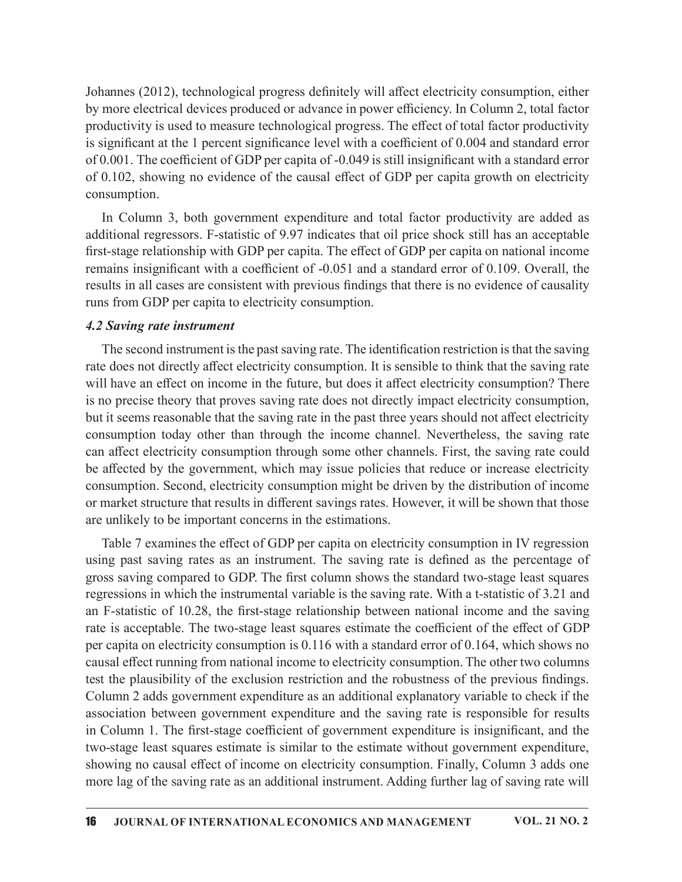Johannes (2012), technological progress definitely will affect electricity consumption, either by more electrical devices produced or advance in power efficiency. In Column 2, total factor productivity is used to measure technological progress. The effect of total factor productivity is significant at the 1 percent significance level with a coefficient of  $0.004$  and standard error of 0.001. The coefficient of GDP per capita of  $-0.049$  is still insignificant with a standard error of 0.102, showing no evidence of the causal effect of GDP per capita growth on electricity consumption.

In Column 3, both government expenditure and total factor productivity are added as additional regressors. F-statistic of 9.97 indicates that oil price shock still has an acceptable first-stage relationship with GDP per capita. The effect of GDP per capita on national income remains insignificant with a coefficient of  $-0.051$  and a standard error of 0.109. Overall, the results in all cases are consistent with previous findings that there is no evidence of causality runs from GDP per capita to electricity consumption.

#### 4.2 Saving rate instrument

The second instrument is the past saving rate. The identification restriction is that the saving rate does not directly affect electricity consumption. It is sensible to think that the saving rate will have an effect on income in the future, but does it affect electricity consumption? There is no precise theory that proves saving rate does not directly impact electricity consumption, but it seems reasonable that the saving rate in the past three years should not affect electricity consumption today other than through the income channel. Nevertheless, the saving rate can a൵ect electricity consumption through some other channels. First, the saving rate could be affected by the government, which may issue policies that reduce or increase electricity consumption. Second, electricity consumption might be driven by the distribution of income or market structure that results in different savings rates. However, it will be shown that those are unlikely to be important concerns in the estimations.

Table 7 examines the effect of GDP per capita on electricity consumption in IV regression using past saving rates as an instrument. The saving rate is defined as the percentage of gross saving compared to GDP. The first column shows the standard two-stage least squares regressions in which the instrumental variable is the saving rate. With a t-statistic of 3.21 and an F-statistic of 10.28, the first-stage relationship between national income and the saving rate is acceptable. The two-stage least squares estimate the coefficient of the effect of GDP per capita on electricity consumption is 0.116 with a standard error of 0.164, which shows no causal effect running from national income to electricity consumption. The other two columns test the plausibility of the exclusion restriction and the robustness of the previous findings. Column 2 adds government expenditure as an additional explanatory variable to check if the association between government expenditure and the saving rate is responsible for results in Column 1. The first-stage coefficient of government expenditure is insignificant, and the two-stage least squares estimate is similar to the estimate without government expenditure, showing no causal effect of income on electricity consumption. Finally, Column 3 adds one more lag of the saving rate as an additional instrument. Adding further lag of saving rate will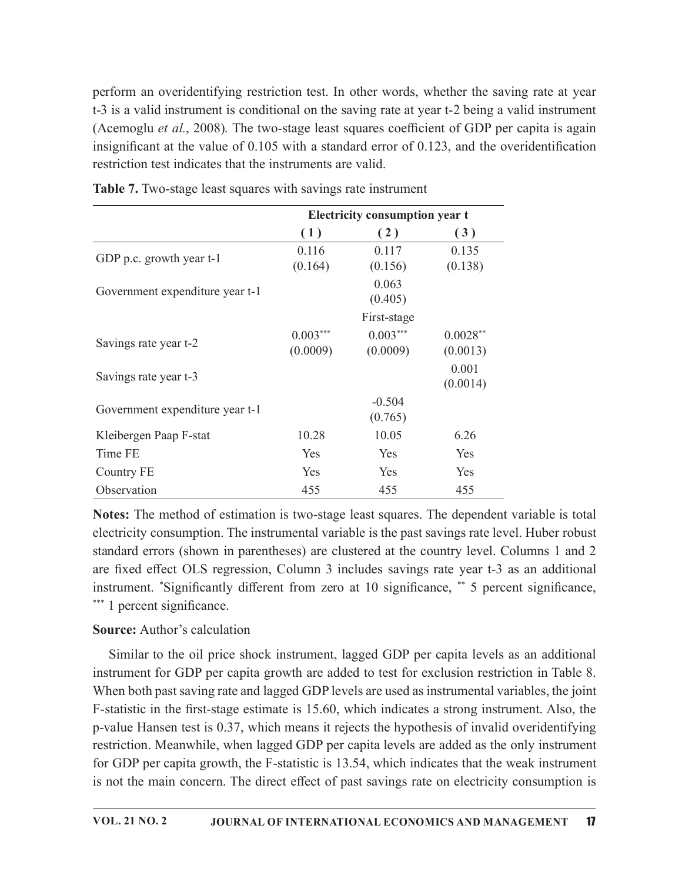perform an overidentifying restriction test. In other words, whether the saving rate at year t-3 is a valid instrument is conditional on the saving rate at year t-2 being a valid instrument (Acemoglu et  $al$ , 2008). The two-stage least squares coefficient of GDP per capita is again insignificant at the value of  $0.105$  with a standard error of  $0.123$ , and the overidentification restriction test indicates that the instruments are valid. test. In other words, whether the saving rate at year<br>on the saving rate at year t-2 being a valid instrument<br>ge least squares coefficient of GDP per capita is again<br>h a standard error of 0.123, and the overidentification

|                                 | (1)                    | (2)                    | (3)                    |  |
|---------------------------------|------------------------|------------------------|------------------------|--|
| GDP p.c. growth year t-1        | 0.116<br>(0.164)       | 0.117<br>(0.156)       | 0.135<br>(0.138)       |  |
| Government expenditure year t-1 |                        | 0.063<br>(0.405)       |                        |  |
|                                 |                        | First-stage            |                        |  |
| Savings rate year t-2           | $0.003***$<br>(0.0009) | $0.003***$<br>(0.0009) | $0.0028**$<br>(0.0013) |  |
| Savings rate year t-3           |                        |                        | 0.001<br>(0.0014)      |  |
| Government expenditure year t-1 |                        | $-0.504$<br>(0.765)    |                        |  |
| Kleibergen Paap F-stat          | 10.28                  | 10.05                  | 6.26                   |  |
| Time FE                         | Yes                    | Yes                    | Yes                    |  |
| <b>Country FE</b>               | Yes                    | Yes                    | Yes                    |  |
| Observation                     | 455                    | 455                    | 455                    |  |

### Source: Author's calculation

Similar to the oil price shock instrument, lagged GDP per capita levels as an additional instrument for GDP per capita growth are added to test for exclusion restriction in Table 8. When both past saving rate and lagged GDP levels are used as instrumental variables, the joint F-statistic in the first-stage estimate is 15.60, which indicates a strong instrument. Also, the p-value Hansen test is 0.37, which means it rejects the hypothesis of invalid overidentifying restriction. Meanwhile, when lagged GDP per capita levels are added as the only instrument for GDP per capita growth, the F-statistic is 13.54, which indicates that the weak instrument is not the main concern. The direct effect of past savings rate on electricity consumption is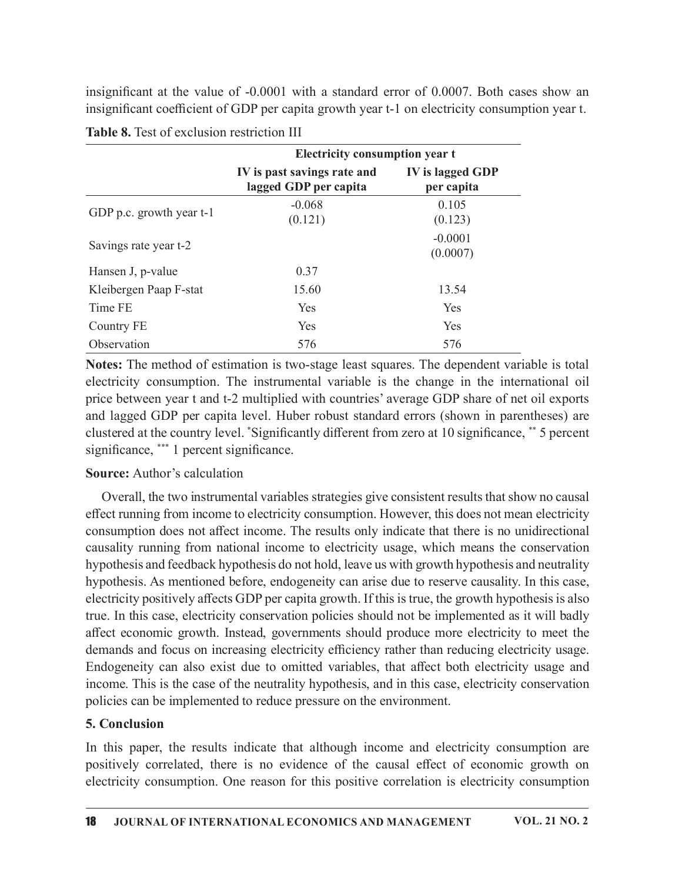|                                            | insignificant at the value of -0.0001 with a standard error of 0.0007. Both cases show an<br>insignificant coefficient of GDP per capita growth year t-1 on electricity consumption year t. |                                |  |
|--------------------------------------------|---------------------------------------------------------------------------------------------------------------------------------------------------------------------------------------------|--------------------------------|--|
| Table 8. Test of exclusion restriction III |                                                                                                                                                                                             |                                |  |
|                                            | Electricity consumption year t                                                                                                                                                              |                                |  |
|                                            | IV is past savings rate and<br>lagged GDP per capita                                                                                                                                        | IV is lagged GDP<br>per capita |  |
| GDP p.c. growth year t-1                   | $-0.068$<br>(0.121)                                                                                                                                                                         | 0.105<br>(0.123)               |  |
| Savings rate year t-2                      |                                                                                                                                                                                             | $-0.0001$<br>(0.0007)          |  |
| Hansen J, p-value                          | 0.37                                                                                                                                                                                        |                                |  |
| Kleibergen Paap F-stat                     | 15.60                                                                                                                                                                                       | 13.54                          |  |
| Time FE                                    | Yes                                                                                                                                                                                         | Yes                            |  |
| <b>Country FE</b>                          | Yes                                                                                                                                                                                         | Yes                            |  |
| Observation                                | 576                                                                                                                                                                                         | 576                            |  |

Notes: The method of estimation is two-stage least squares. The dependent variable is total electricity consumption. The instrumental variable is the change in the international oil price between year t and t-2 multiplied with countries'average GDP share of net oil exports and lagged GDP per capita level. Huber robust standard errors (shown in parentheses) are clustered at the country level. \*Significantly different from zero at 10 significance, \*\* 5 percent significance, \*\*\* 1 percent significance.

### Source: Author's calculation

Overall, the two instrumental variables strategies give consistent results that show no causal effect running from income to electricity consumption. However, this does not mean electricity consumption does not affect income. The results only indicate that there is no unidirectional causality running from national income to electricity usage, which means the conservation hypothesis and feedback hypothesis do not hold, leave us with growth hypothesis and neutrality hypothesis. As mentioned before, endogeneity can arise due to reserve causality. In this case, electricity positively affects GDP per capita growth. If this is true, the growth hypothesis is also true. In this case, electricity conservation policies should not be implemented as it will badly affect economic growth. Instead, governments should produce more electricity to meet the demands and focus on increasing electricity efficiency rather than reducing electricity usage. Endogeneity can also exist due to omitted variables, that affect both electricity usage and income. This is the case of the neutrality hypothesis, and in this case, electricity conservation policies can be implemented to reduce pressure on the environment.

## 5. Conclusion

In this paper, the results indicate that although income and electricity consumption are positively correlated, there is no evidence of the causal effect of economic growth on electricity consumption. One reason for this positive correlation is electricity consumption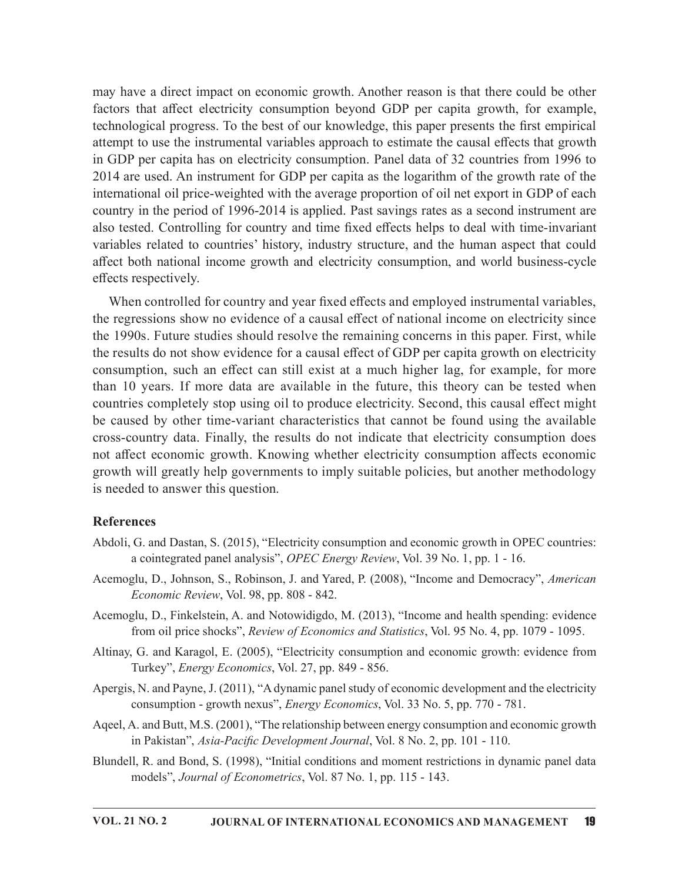may have a direct impact on economic growth. Another reason is that there could be other factors that affect electricity consumption beyond GDP per capita growth, for example, technological progress. To the best of our knowledge, this paper presents the first empirical attempt to use the instrumental variables approach to estimate the causal effects that growth in GDP per capita has on electricity consumption. Panel data of 32 countries from 1996 to 2014 are used. An instrument for GDP per capita as the logarithm of the growth rate of the international oil price-weighted with the average proportion of oil net export in GDP of each country in the period of 1996-2014 is applied. Past savings rates as a second instrument are also tested. Controlling for country and time fixed effects helps to deal with time-invariant variables related to countries' history, industry structure, and the human aspect that could affect both national income growth and electricity consumption, and world business-cycle effects respectively.

When controlled for country and year fixed effects and employed instrumental variables, the regressions show no evidence of a causal effect of national income on electricity since the 1990s. Future studies should resolve the remaining concerns in this paper. First, while the results do not show evidence for a causal effect of GDP per capita growth on electricity consumption, such an effect can still exist at a much higher lag, for example, for more than 10 years. If more data are available in the future, this theory can be tested when countries completely stop using oil to produce electricity. Second, this causal effect might be caused by other time-variant characteristics that cannot be found using the available cross-country data. Finally, the results do not indicate that electricity consumption does not a൵ect economic growth. Knowing whether electricity consumption a൵ects economic growth will greatly help governments to imply suitable policies, but another methodology is needed to answer this question.

#### **References**

- Abdoli, G. and Dastan, S. (2015), "Electricity consumption and economic growth in OPEC countries: a cointegrated panel analysis", OPEC Energy Review, Vol. 39 No. 1, pp. 1 - 16.
- Acemoglu, D., Johnson, S., Robinson, J. and Yared, P. (2008), "Income and Democracy", American Economic Review, Vol. 98, pp. 808 - 842.
- Acemoglu, D., Finkelstein, A. and Notowidigdo, M. (2013), "Income and health spending: evidence from oil price shocks", Review of Economics and Statistics, Vol. 95 No. 4, pp. 1079 - 1095.
- Altinay, G. and Karagol, E. (2005), "Electricity consumption and economic growth: evidence from Turkey", Energy Economics, Vol. 27, pp. 849 - 856.
- Apergis, N. and Payne, J. (2011), "A dynamic panel study of economic development and the electricity consumption - growth nexus", *Energy Economics*, Vol. 33 No. 5, pp. 770 - 781.
- Aqeel, A. and Butt, M.S. (2001), "The relationship between energy consumption and economic growth in Pakistan", Asia-Pacific Development Journal, Vol. 8 No. 2, pp. 101 - 110.
- Blundell, R. and Bond, S. (1998), "Initial conditions and moment restrictions in dynamic panel data models", Journal of Econometrics, Vol. 87 No. 1, pp. 115 - 143.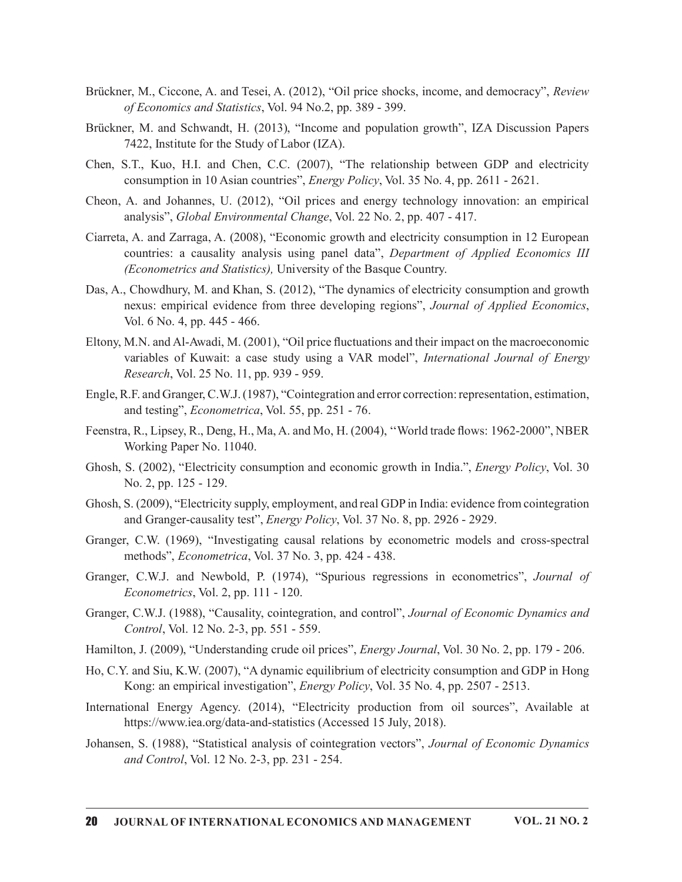- Brückner, M., Ciccone, A. and Tesei, A. (2012), "Oil price shocks, income, and democracy", Review of Economics and Statistics, Vol. 94 No.2, pp. 389 - 399.
- Brückner, M. and Schwandt, H. (2013), "Income and population growth", IZA Discussion Papers 7422, Institute for the Study of Labor (IZA).
- Chen, S.T., Kuo, H.I. and Chen, C.C. (2007), "The relationship between GDP and electricity consumption in 10 Asian countries", Energy Policy, Vol. 35 No. 4, pp. 2611 - 2621.
- Cheon, A. and Johannes, U. (2012), "Oil prices and energy technology innovation: an empirical analysis", Global Environmental Change, Vol. 22 No. 2, pp. 407 - 417.
- Ciarreta, A. and Zarraga, A. (2008), "Economic growth and electricity consumption in 12 European countries: a causality analysis using panel data", Department of Applied Economics III (Econometrics and Statistics), University of the Basque Country.
- Das, A., Chowdhury, M. and Khan, S. (2012), "The dynamics of electricity consumption and growth nexus: empirical evidence from three developing regions", Journal of Applied Economics, Vol. 6 No. 4, pp. 445 - 466.
- Eltony, M.N. and Al-Awadi, M. (2001), "Oil price fluctuations and their impact on the macroeconomic variables of Kuwait: a case study using a VAR model", International Journal of Energy Research, Vol. 25 No. 11, pp. 939 - 959.
- Engle, R.F. and Granger, C.W.J. (1987), "Cointegration and error correction: representation, estimation, and testing", Econometrica, Vol. 55, pp. 251 - 76.
- Feenstra, R., Lipsey, R., Deng, H., Ma, A. and Mo, H. (2004), "World trade flows: 1962-2000", NBER Working Paper No. 11040.
- Ghosh, S. (2002), "Electricity consumption and economic growth in India.", Energy Policy, Vol. 30 No. 2, pp. 125 - 129.
- Ghosh, S. (2009), "Electricity supply, employment, and real GDP in India: evidence from cointegration and Granger-causality test", Energy Policy, Vol. 37 No. 8, pp. 2926 - 2929.
- Granger, C.W. (1969), "Investigating causal relations by econometric models and cross-spectral methods", Econometrica, Vol. 37 No. 3, pp. 424 - 438.
- Granger, C.W.J. and Newbold, P. (1974), "Spurious regressions in econometrics", Journal of Econometrics, Vol. 2, pp. 111 - 120.
- Granger, C.W.J. (1988), "Causality, cointegration, and control", Journal of Economic Dynamics and Control, Vol. 12 No. 2-3, pp. 551 - 559.
- Hamilton, J. (2009), "Understanding crude oil prices", Energy Journal, Vol. 30 No. 2, pp. 179 206.
- Ho, C.Y. and Siu, K.W. (2007), "A dynamic equilibrium of electricity consumption and GDP in Hong Kong: an empirical investigation", Energy Policy, Vol. 35 No. 4, pp. 2507 - 2513.
- International Energy Agency. (2014), "Electricity production from oil sources", Available at https://www.iea.org/data-and-statistics (Accessed 15 July, 2018).
- Johansen, S. (1988), "Statistical analysis of cointegration vectors", Journal of Economic Dynamics and Control, Vol. 12 No. 2-3, pp. 231 - 254.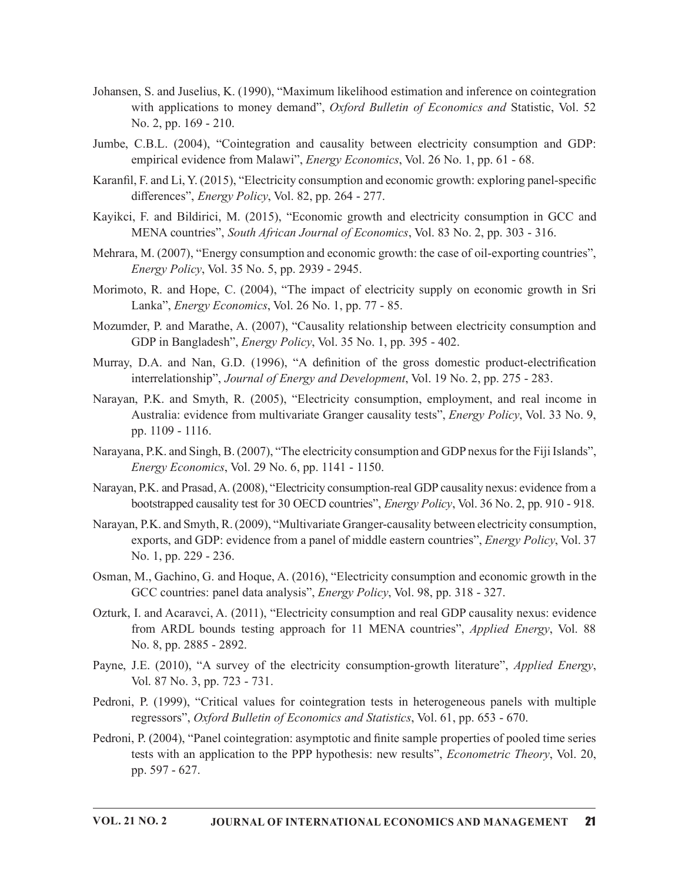- Johansen, S. and Juselius, K. (1990), "Maximum likelihood estimation and inference on cointegration with applications to money demand", Oxford Bulletin of Economics and Statistic, Vol. 52 No. 2, pp. 169 - 210.
- Jumbe, C.B.L. (2004), "Cointegration and causality between electricity consumption and GDP: empirical evidence from Malawi", Energy Economics, Vol. 26 No. 1, pp. 61 - 68.
- Karanfil, F. and Li, Y. (2015), "Electricity consumption and economic growth: exploring panel-specific differences", *Energy Policy*, Vol. 82, pp. 264 - 277.
- Kayikci, F. and Bildirici, M. (2015), "Economic growth and electricity consumption in GCC and MENA countries", South African Journal of Economics, Vol. 83 No. 2, pp. 303 - 316.
- Mehrara, M. (2007), "Energy consumption and economic growth: the case of oil-exporting countries", Energy Policy, Vol. 35 No. 5, pp. 2939 - 2945.
- Morimoto, R. and Hope, C. (2004), "The impact of electricity supply on economic growth in Sri Lanka", Energy Economics, Vol. 26 No. 1, pp. 77 - 85.
- Mozumder, P. and Marathe, A. (2007), "Causality relationship between electricity consumption and GDP in Bangladesh", Energy Policy, Vol. 35 No. 1, pp. 395 - 402.
- Murray, D.A. and Nan, G.D. (1996), "A definition of the gross domestic product-electrification interrelationship", Journal of Energy and Development, Vol. 19 No. 2, pp. 275 - 283.
- Narayan, P.K. and Smyth, R. (2005), "Electricity consumption, employment, and real income in Australia: evidence from multivariate Granger causality tests", *Energy Policy*, Vol. 33 No. 9, pp. 1109 - 1116.
- Narayana, P.K. and Singh, B. (2007), "The electricity consumption and GDP nexus for the Fiji Islands", Energy Economics, Vol. 29 No. 6, pp. 1141 - 1150.
- Narayan, P.K. and Prasad, A. (2008), "Electricity consumption-real GDP causality nexus: evidence from a bootstrapped causality test for 30 OECD countries", Energy Policy, Vol. 36 No. 2, pp. 910 - 918.
- Narayan, P.K. and Smyth, R. (2009), "Multivariate Granger-causality between electricity consumption, exports, and GDP: evidence from a panel of middle eastern countries", *Energy Policy*, Vol. 37 No. 1, pp. 229 - 236.
- Osman, M., Gachino, G. and Hoque, A. (2016), "Electricity consumption and economic growth in the GCC countries: panel data analysis", *Energy Policy*, Vol. 98, pp. 318 - 327.
- Ozturk, I. and Acaravci, A. (2011), "Electricity consumption and real GDP causality nexus: evidence from ARDL bounds testing approach for 11 MENA countries", Applied Energy, Vol. 88 No. 8, pp. 2885 - 2892.
- Payne, J.E. (2010), "A survey of the electricity consumption-growth literature", *Applied Energy*, Vol. 87 No. 3, pp. 723 731.
- Pedroni, P. (1999), "Critical values for cointegration tests in heterogeneous panels with multiple regressors", Oxford Bulletin of Economics and Statistics, Vol. 61, pp. 653 - 670.
- Pedroni, P. (2004), "Panel cointegration: asymptotic and finite sample properties of pooled time series tests with an application to the PPP hypothesis: new results", Econometric Theory, Vol. 20, pp. 597 - 627.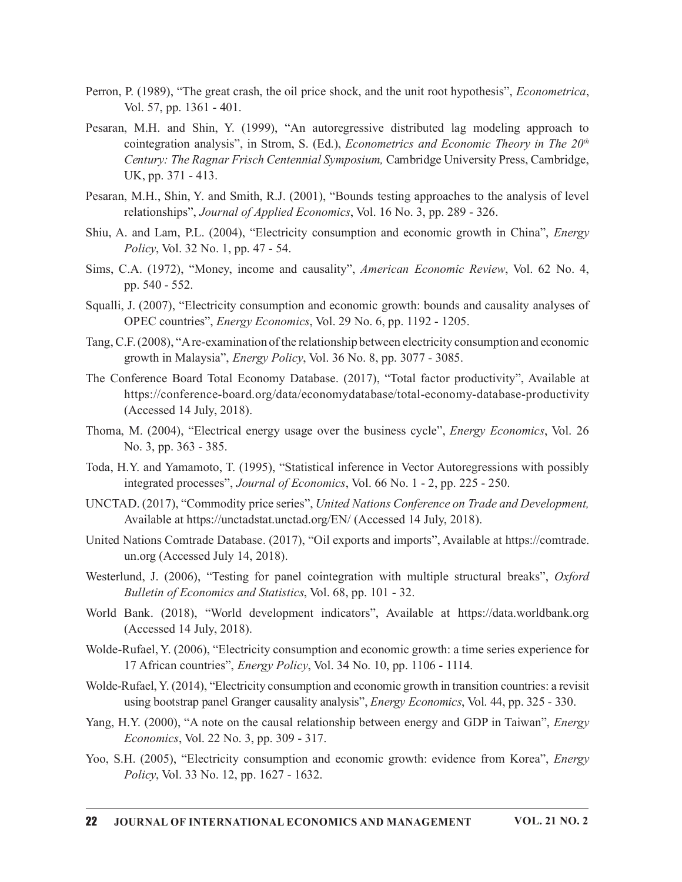- Perron, P. (1989), "The great crash, the oil price shock, and the unit root hypothesis", Econometrica, Vol. 57, pp. 1361 401.
- Pesaran, M.H. and Shin, Y. (1999), "An autoregressive distributed lag modeling approach to cointegration analysis", in Strom, S. (Ed.), *Econometrics and Economic Theory in The*  $20<sup>th</sup>$ Century: The Ragnar Frisch Centennial Symposium, Cambridge University Press, Cambridge, UK, pp. 371 - 413.
- Pesaran, M.H., Shin, Y. and Smith, R.J. (2001), "Bounds testing approaches to the analysis of level relationships", Journal of Applied Economics, Vol. 16 No. 3, pp. 289 - 326.
- Shiu, A. and Lam, P.L. (2004), "Electricity consumption and economic growth in China", Energy Policy, Vol. 32 No. 1, pp. 47 - 54.
- Sims, C.A. (1972), "Money, income and causality", American Economic Review, Vol. 62 No. 4, pp. 540 - 552.
- Squalli, J. (2007), "Electricity consumption and economic growth: bounds and causality analyses of OPEC countries", Energy Economics, Vol. 29 No. 6, pp. 1192 - 1205.
- Tang,C.F.(2008), "Are-examination ofthe relationship between electricity consumption and economic growth in Malaysia", *Energy Policy*, Vol. 36 No. 8, pp. 3077 - 3085.
- The Conference Board Total Economy Database. (2017), "Total factor productivity", Available at https://conference-board.org/data/economydatabase/total-economy-database-productivity (Accessed 14 July, 2018).
- Thoma, M. (2004), "Electrical energy usage over the business cycle", Energy Economics, Vol. 26 No. 3, pp. 363 - 385.
- Toda, H.Y. and Yamamoto, T. (1995), "Statistical inference in Vector Autoregressions with possibly integrated processes", Journal of Economics, Vol. 66 No. 1 - 2, pp. 225 - 250.
- UNCTAD. (2017), "Commodity price series", United Nations Conference on Trade and Development, Available at https://unctadstat.unctad.org/EN/ (Accessed 14 July, 2018).
- United Nations Comtrade Database. (2017), "Oil exports and imports", Available at https://comtrade. un.org (Accessed July 14, 2018).
- Westerlund, J. (2006), "Testing for panel cointegration with multiple structural breaks", *Oxford* Bulletin of Economics and Statistics, Vol. 68, pp. 101 - 32.
- World Bank. (2018), "World development indicators", Available at https://data.worldbank.org (Accessed 14 July, 2018).
- Wolde-Rufael, Y. (2006), "Electricity consumption and economic growth: a time series experience for 17 African countries", Energy Policy, Vol. 34 No. 10, pp. 1106 - 1114.
- Wolde-Rufael, Y. (2014), "Electricity consumption and economic growth in transition countries: a revisit using bootstrap panel Granger causality analysis", *Energy Economics*, Vol. 44, pp. 325 - 330.
- Yang, H.Y. (2000), "A note on the causal relationship between energy and GDP in Taiwan", *Energy* Economics, Vol. 22 No. 3, pp. 309 - 317.
- Yoo, S.H. (2005), "Electricity consumption and economic growth: evidence from Korea", *Energy* Policy, Vol. 33 No. 12, pp. 1627 - 1632.